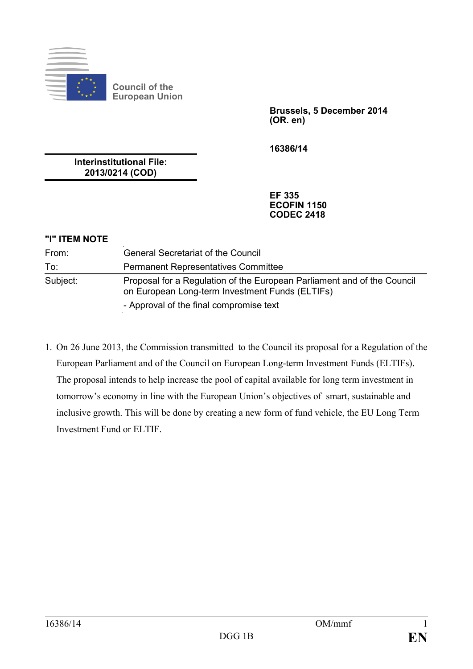

**Council of the European Union**

> **Brussels, 5 December 2014 (OR. en)**

**16386/14**

**Interinstitutional File: 2013/0214 (COD)**

> **EF 335 ECOFIN 1150 CODEC 2418**

#### **"I" ITEM NOTE**

| From:    | <b>General Secretariat of the Council</b>                                                                                  |
|----------|----------------------------------------------------------------------------------------------------------------------------|
| To:      | <b>Permanent Representatives Committee</b>                                                                                 |
| Subject: | Proposal for a Regulation of the European Parliament and of the Council<br>on European Long-term Investment Funds (ELTIFs) |
|          | - Approval of the final compromise text                                                                                    |

1. On 26 June 2013, the Commission transmitted to the Council its proposal for a Regulation of the European Parliament and of the Council on European Long-term Investment Funds (ELTIFs). The proposal intends to help increase the pool of capital available for long term investment in tomorrow's economy in line with the European Union's objectives of smart, sustainable and inclusive growth. This will be done by creating a new form of fund vehicle, the EU Long Term Investment Fund or ELTIF.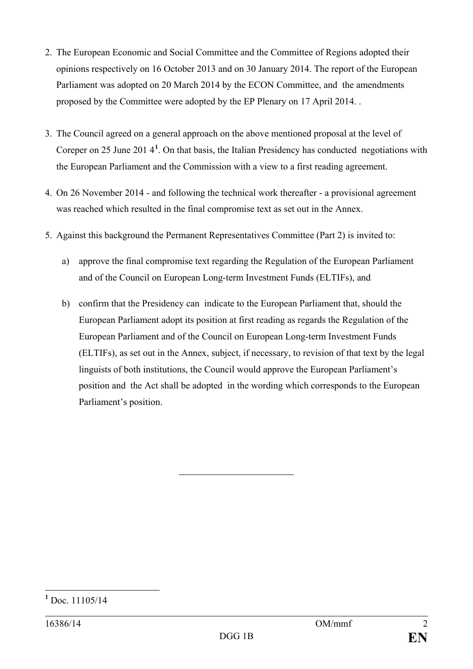- 2. The European Economic and Social Committee and the Committee of Regions adopted their opinions respectively on 16 October 2013 and on 30 January 2014. The report of the European Parliament was adopted on 20 March 2014 by the ECON Committee, and the amendments proposed by the Committee were adopted by the EP Plenary on 17 April 2014. .
- 3. The Council agreed on a general approach on the above mentioned proposal at the level of Coreper on 25 June 201 4**[1](#page-1-0)** . On that basis, the Italian Presidency has conducted negotiations with the European Parliament and the Commission with a view to a first reading agreement.
- 4. On 26 November 2014 and following the technical work thereafter a provisional agreement was reached which resulted in the final compromise text as set out in the Annex.
- 5. Against this background the Permanent Representatives Committee (Part 2) is invited to:
	- a) approve the final compromise text regarding the Regulation of the European Parliament and of the Council on European Long-term Investment Funds (ELTIFs), and
	- b) confirm that the Presidency can indicate to the European Parliament that, should the European Parliament adopt its position at first reading as regards the Regulation of the European Parliament and of the Council on European Long-term Investment Funds (ELTIFs), as set out in the Annex, subject, if necessary, to revision of that text by the legal linguists of both institutions, the Council would approve the European Parliament's position and the Act shall be adopted in the wording which corresponds to the European Parliament's position.

<span id="page-1-0"></span>**<sup>1</sup>** Doc. 11105/14  $\overline{a}$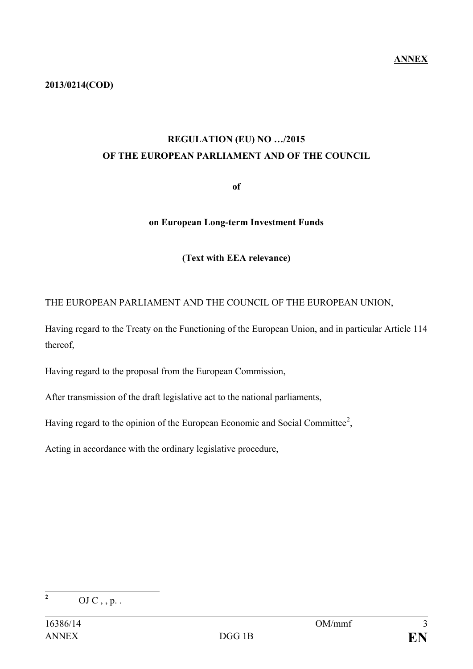## **REGULATION (EU) NO …/2015 OF THE EUROPEAN PARLIAMENT AND OF THE COUNCIL**

**of**

#### **on European Long-term Investment Funds**

### **(Text with EEA relevance)**

## THE EUROPEAN PARLIAMENT AND THE COUNCIL OF THE EUROPEAN UNION,

Having regard to the Treaty on the Functioning of the European Union, and in particular Article 114 thereof,

Having regard to the proposal from the European Commission,

After transmission of the draft legislative act to the national parliaments,

Having regard to the opinion of the European Economic and Social Committee<sup>[2](#page-2-0)</sup>,

Acting in accordance with the ordinary legislative procedure,

<span id="page-2-0"></span> $\overline{2}$ 

**<sup>2</sup>** OJ C , , p. .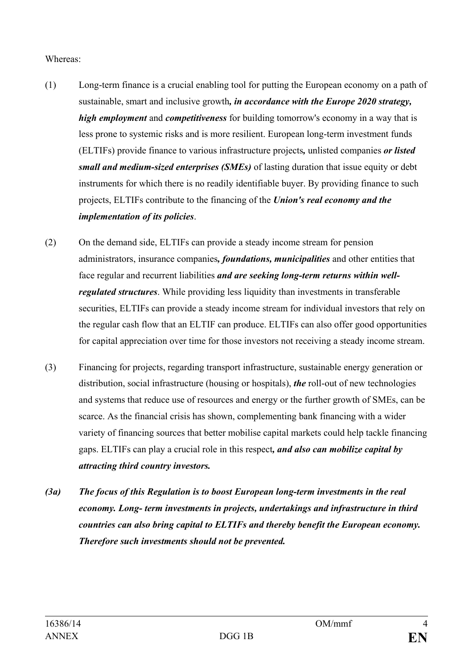#### Whereas:

- (1) Long-term finance is a crucial enabling tool for putting the European economy on a path of sustainable, smart and inclusive growth*, in accordance with the Europe 2020 strategy, high employment* and *competitiveness* for building tomorrow's economy in a way that is less prone to systemic risks and is more resilient. European long-term investment funds (ELTIFs) provide finance to various infrastructure projects*,* unlisted companies *or listed small and medium-sized enterprises (SMEs)* of lasting duration that issue equity or debt instruments for which there is no readily identifiable buyer. By providing finance to such projects, ELTIFs contribute to the financing of the *Union's real economy and the implementation of its policies*.
- (2) On the demand side, ELTIFs can provide a steady income stream for pension administrators, insurance companies*, foundations, municipalities* and other entities that face regular and recurrent liabilities *and are seeking long-term returns within wellregulated structures*. While providing less liquidity than investments in transferable securities, ELTIFs can provide a steady income stream for individual investors that rely on the regular cash flow that an ELTIF can produce. ELTIFs can also offer good opportunities for capital appreciation over time for those investors not receiving a steady income stream.
- (3) Financing for projects, regarding transport infrastructure, sustainable energy generation or distribution, social infrastructure (housing or hospitals), *the* roll-out of new technologies and systems that reduce use of resources and energy or the further growth of SMEs, can be scarce. As the financial crisis has shown, complementing bank financing with a wider variety of financing sources that better mobilise capital markets could help tackle financing gaps. ELTIFs can play a crucial role in this respect*, and also can mobilize capital by attracting third country investors.*
- *(3a) The focus of this Regulation is to boost European long-term investments in the real economy. Long- term investments in projects, undertakings and infrastructure in third countries can also bring capital to ELTIFs and thereby benefit the European economy. Therefore such investments should not be prevented.*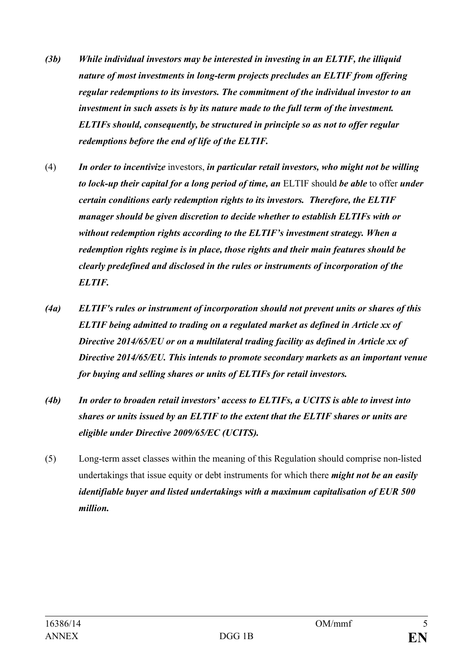- *(3b) While individual investors may be interested in investing in an ELTIF, the illiquid nature of most investments in long-term projects precludes an ELTIF from offering regular redemptions to its investors. The commitment of the individual investor to an investment in such assets is by its nature made to the full term of the investment. ELTIFs should, consequently, be structured in principle so as not to offer regular redemptions before the end of life of the ELTIF.*
- (4) *In order to incentivize* investors, *in particular retail investors, who might not be willing to lock-up their capital for a long period of time, an* ELTIF should *be able* to offer *under certain conditions early redemption rights to its investors. Therefore, the ELTIF manager should be given discretion to decide whether to establish ELTIFs with or without redemption rights according to the ELTIF's investment strategy. When a redemption rights regime is in place, those rights and their main features should be clearly predefined and disclosed in the rules or instruments of incorporation of the ELTIF.*
- *(4a) ELTIF's rules or instrument of incorporation should not prevent units or shares of this ELTIF being admitted to trading on a regulated market as defined in Article xx of Directive 2014/65/EU or on a multilateral trading facility as defined in Article xx of Directive 2014/65/EU. This intends to promote secondary markets as an important venue for buying and selling shares or units of ELTIFs for retail investors.*
- *(4b) In order to broaden retail investors' access to ELTIFs, a UCITS is able to invest into shares or units issued by an ELTIF to the extent that the ELTIF shares or units are eligible under Directive 2009/65/EC (UCITS).*
- (5) Long-term asset classes within the meaning of this Regulation should comprise non-listed undertakings that issue equity or debt instruments for which there *might not be an easily identifiable buyer and listed undertakings with a maximum capitalisation of EUR 500 million.*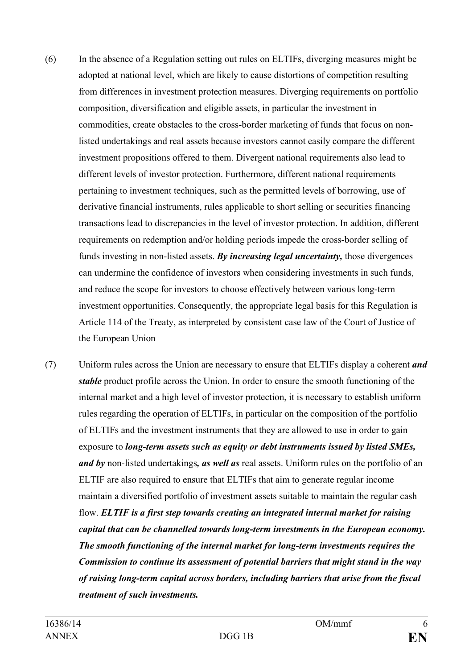- (6) In the absence of a Regulation setting out rules on ELTIFs, diverging measures might be adopted at national level, which are likely to cause distortions of competition resulting from differences in investment protection measures. Diverging requirements on portfolio composition, diversification and eligible assets, in particular the investment in commodities, create obstacles to the cross-border marketing of funds that focus on nonlisted undertakings and real assets because investors cannot easily compare the different investment propositions offered to them. Divergent national requirements also lead to different levels of investor protection. Furthermore, different national requirements pertaining to investment techniques, such as the permitted levels of borrowing, use of derivative financial instruments, rules applicable to short selling or securities financing transactions lead to discrepancies in the level of investor protection. In addition, different requirements on redemption and/or holding periods impede the cross-border selling of funds investing in non-listed assets. *By increasing legal uncertainty,* those divergences can undermine the confidence of investors when considering investments in such funds, and reduce the scope for investors to choose effectively between various long-term investment opportunities. Consequently, the appropriate legal basis for this Regulation is Article 114 of the Treaty, as interpreted by consistent case law of the Court of Justice of the European Union
- (7) Uniform rules across the Union are necessary to ensure that ELTIFs display a coherent *and stable* product profile across the Union. In order to ensure the smooth functioning of the internal market and a high level of investor protection, it is necessary to establish uniform rules regarding the operation of ELTIFs, in particular on the composition of the portfolio of ELTIFs and the investment instruments that they are allowed to use in order to gain exposure to *long-term assets such as equity or debt instruments issued by listed SMEs, and by* non-listed undertakings*, as well as* real assets. Uniform rules on the portfolio of an ELTIF are also required to ensure that ELTIFs that aim to generate regular income maintain a diversified portfolio of investment assets suitable to maintain the regular cash flow. *ELTIF is a first step towards creating an integrated internal market for raising capital that can be channelled towards long-term investments in the European economy. The smooth functioning of the internal market for long-term investments requires the Commission to continue its assessment of potential barriers that might stand in the way of raising long-term capital across borders, including barriers that arise from the fiscal treatment of such investments.*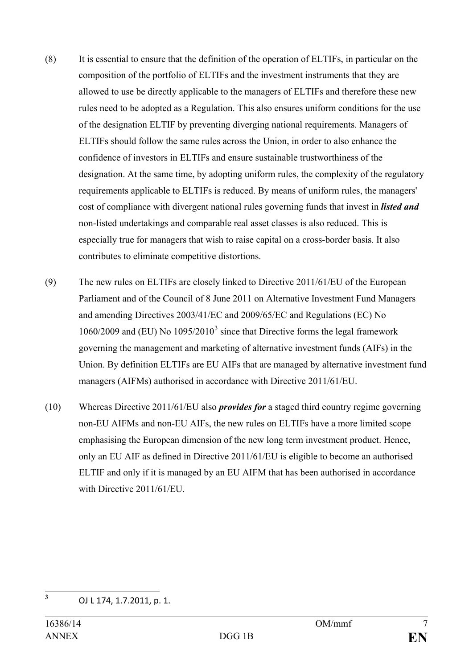- (8) It is essential to ensure that the definition of the operation of ELTIFs, in particular on the composition of the portfolio of ELTIFs and the investment instruments that they are allowed to use be directly applicable to the managers of ELTIFs and therefore these new rules need to be adopted as a Regulation. This also ensures uniform conditions for the use of the designation ELTIF by preventing diverging national requirements. Managers of ELTIFs should follow the same rules across the Union, in order to also enhance the confidence of investors in ELTIFs and ensure sustainable trustworthiness of the designation. At the same time, by adopting uniform rules, the complexity of the regulatory requirements applicable to ELTIFs is reduced. By means of uniform rules, the managers' cost of compliance with divergent national rules governing funds that invest in *listed and* non-listed undertakings and comparable real asset classes is also reduced. This is especially true for managers that wish to raise capital on a cross-border basis. It also contributes to eliminate competitive distortions.
- (9) The new rules on ELTIFs are closely linked to Directive 2011/61/EU of the European Parliament and of the Council of 8 June 2011 on Alternative Investment Fund Managers and amending Directives 2003/41/EC and 2009/65/EC and Regulations (EC) No 1060/2009 and (EU) No  $1095/2010^3$  $1095/2010^3$  since that Directive forms the legal framework governing the management and marketing of alternative investment funds (AIFs) in the Union. By definition ELTIFs are EU AIFs that are managed by alternative investment fund managers (AIFMs) authorised in accordance with Directive 2011/61/EU.
- (10) Whereas Directive 2011/61/EU also *provides for* a staged third country regime governing non-EU AIFMs and non-EU AIFs, the new rules on ELTIFs have a more limited scope emphasising the European dimension of the new long term investment product. Hence, only an EU AIF as defined in Directive 2011/61/EU is eligible to become an authorised ELTIF and only if it is managed by an EU AIFM that has been authorised in accordance with Directive 2011/61/EU.

<span id="page-6-0"></span>**<sup>3</sup>** OJ L 174, 1.7.2011, p. 1.  $\overline{3}$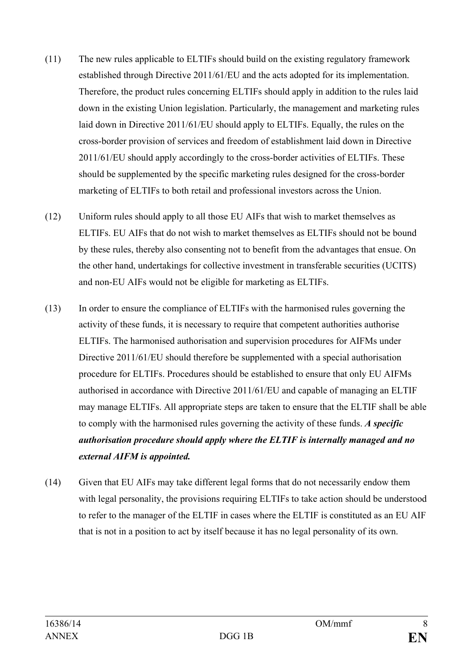- (11) The new rules applicable to ELTIFs should build on the existing regulatory framework established through Directive 2011/61/EU and the acts adopted for its implementation. Therefore, the product rules concerning ELTIFs should apply in addition to the rules laid down in the existing Union legislation. Particularly, the management and marketing rules laid down in Directive 2011/61/EU should apply to ELTIFs. Equally, the rules on the cross-border provision of services and freedom of establishment laid down in Directive 2011/61/EU should apply accordingly to the cross-border activities of ELTIFs. These should be supplemented by the specific marketing rules designed for the cross-border marketing of ELTIFs to both retail and professional investors across the Union.
- (12) Uniform rules should apply to all those EU AIFs that wish to market themselves as ELTIFs. EU AIFs that do not wish to market themselves as ELTIFs should not be bound by these rules, thereby also consenting not to benefit from the advantages that ensue. On the other hand, undertakings for collective investment in transferable securities (UCITS) and non-EU AIFs would not be eligible for marketing as ELTIFs.
- (13) In order to ensure the compliance of ELTIFs with the harmonised rules governing the activity of these funds, it is necessary to require that competent authorities authorise ELTIFs. The harmonised authorisation and supervision procedures for AIFMs under Directive 2011/61/EU should therefore be supplemented with a special authorisation procedure for ELTIFs. Procedures should be established to ensure that only EU AIFMs authorised in accordance with Directive 2011/61/EU and capable of managing an ELTIF may manage ELTIFs. All appropriate steps are taken to ensure that the ELTIF shall be able to comply with the harmonised rules governing the activity of these funds. *A specific authorisation procedure should apply where the ELTIF is internally managed and no external AIFM is appointed.*
- (14) Given that EU AIFs may take different legal forms that do not necessarily endow them with legal personality, the provisions requiring ELTIFs to take action should be understood to refer to the manager of the ELTIF in cases where the ELTIF is constituted as an EU AIF that is not in a position to act by itself because it has no legal personality of its own.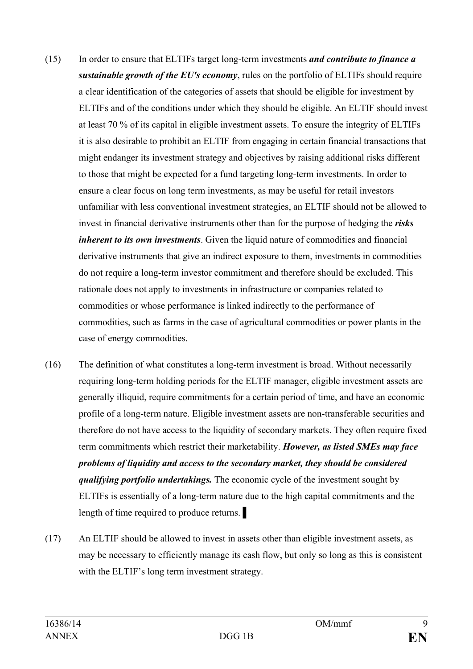- (15) In order to ensure that ELTIFs target long-term investments *and contribute to finance a sustainable growth of the EU's economy*, rules on the portfolio of ELTIFs should require a clear identification of the categories of assets that should be eligible for investment by ELTIFs and of the conditions under which they should be eligible. An ELTIF should invest at least 70 % of its capital in eligible investment assets. To ensure the integrity of ELTIFs it is also desirable to prohibit an ELTIF from engaging in certain financial transactions that might endanger its investment strategy and objectives by raising additional risks different to those that might be expected for a fund targeting long-term investments. In order to ensure a clear focus on long term investments, as may be useful for retail investors unfamiliar with less conventional investment strategies, an ELTIF should not be allowed to invest in financial derivative instruments other than for the purpose of hedging the *risks inherent to its own investments*. Given the liquid nature of commodities and financial derivative instruments that give an indirect exposure to them, investments in commodities do not require a long-term investor commitment and therefore should be excluded. This rationale does not apply to investments in infrastructure or companies related to commodities or whose performance is linked indirectly to the performance of commodities, such as farms in the case of agricultural commodities or power plants in the case of energy commodities.
- (16) The definition of what constitutes a long-term investment is broad. Without necessarily requiring long-term holding periods for the ELTIF manager, eligible investment assets are generally illiquid, require commitments for a certain period of time, and have an economic profile of a long-term nature. Eligible investment assets are non-transferable securities and therefore do not have access to the liquidity of secondary markets. They often require fixed term commitments which restrict their marketability. *However, as listed SMEs may face problems of liquidity and access to the secondary market, they should be considered qualifying portfolio undertakings.* The economic cycle of the investment sought by ELTIFs is essentially of a long-term nature due to the high capital commitments and the length of time required to produce returns.
- (17) An ELTIF should be allowed to invest in assets other than eligible investment assets, as may be necessary to efficiently manage its cash flow, but only so long as this is consistent with the ELTIF's long term investment strategy.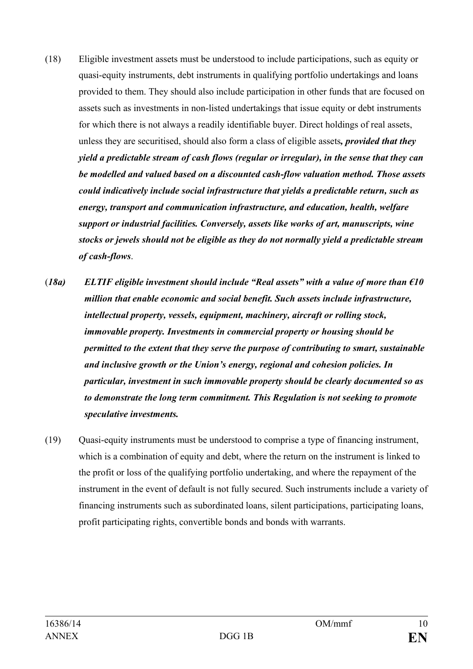- (18) Eligible investment assets must be understood to include participations, such as equity or quasi-equity instruments, debt instruments in qualifying portfolio undertakings and loans provided to them. They should also include participation in other funds that are focused on assets such as investments in non-listed undertakings that issue equity or debt instruments for which there is not always a readily identifiable buyer. Direct holdings of real assets, unless they are securitised, should also form a class of eligible assets*, provided that they yield a predictable stream of cash flows (regular or irregular), in the sense that they can be modelled and valued based on a discounted cash-flow valuation method. Those assets could indicatively include social infrastructure that yields a predictable return, such as energy, transport and communication infrastructure, and education, health, welfare support or industrial facilities. Conversely, assets like works of art, manuscripts, wine stocks or jewels should not be eligible as they do not normally yield a predictable stream of cash-flows*.
- (*18a) ELTIF eligible investment should include "Real assets" with a value of more than €10 million that enable economic and social benefit. Such assets include infrastructure, intellectual property, vessels, equipment, machinery, aircraft or rolling stock, immovable property. Investments in commercial property or housing should be permitted to the extent that they serve the purpose of contributing to smart, sustainable and inclusive growth or the Union's energy, regional and cohesion policies. In particular, investment in such immovable property should be clearly documented so as to demonstrate the long term commitment. This Regulation is not seeking to promote speculative investments.*
- (19) Quasi-equity instruments must be understood to comprise a type of financing instrument, which is a combination of equity and debt, where the return on the instrument is linked to the profit or loss of the qualifying portfolio undertaking, and where the repayment of the instrument in the event of default is not fully secured. Such instruments include a variety of financing instruments such as subordinated loans, silent participations, participating loans, profit participating rights, convertible bonds and bonds with warrants.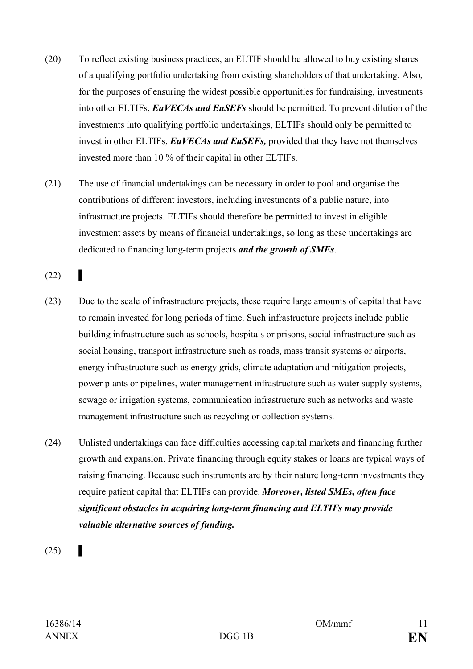- (20) To reflect existing business practices, an ELTIF should be allowed to buy existing shares of a qualifying portfolio undertaking from existing shareholders of that undertaking. Also, for the purposes of ensuring the widest possible opportunities for fundraising, investments into other ELTIFs, *EuVECAs and EuSEFs* should be permitted. To prevent dilution of the investments into qualifying portfolio undertakings, ELTIFs should only be permitted to invest in other ELTIFs, *EuVECAs and EuSEFs,* provided that they have not themselves invested more than 10 % of their capital in other ELTIFs.
- (21) The use of financial undertakings can be necessary in order to pool and organise the contributions of different investors, including investments of a public nature, into infrastructure projects. ELTIFs should therefore be permitted to invest in eligible investment assets by means of financial undertakings, so long as these undertakings are dedicated to financing long-term projects *and the growth of SMEs*.

 $(22)$ 

- (23) Due to the scale of infrastructure projects, these require large amounts of capital that have to remain invested for long periods of time. Such infrastructure projects include public building infrastructure such as schools, hospitals or prisons, social infrastructure such as social housing, transport infrastructure such as roads, mass transit systems or airports, energy infrastructure such as energy grids, climate adaptation and mitigation projects, power plants or pipelines, water management infrastructure such as water supply systems, sewage or irrigation systems, communication infrastructure such as networks and waste management infrastructure such as recycling or collection systems.
- (24) Unlisted undertakings can face difficulties accessing capital markets and financing further growth and expansion. Private financing through equity stakes or loans are typical ways of raising financing. Because such instruments are by their nature long-term investments they require patient capital that ELTIFs can provide. *Moreover, listed SMEs, often face significant obstacles in acquiring long-term financing and ELTIFs may provide valuable alternative sources of funding.*

 $(25)$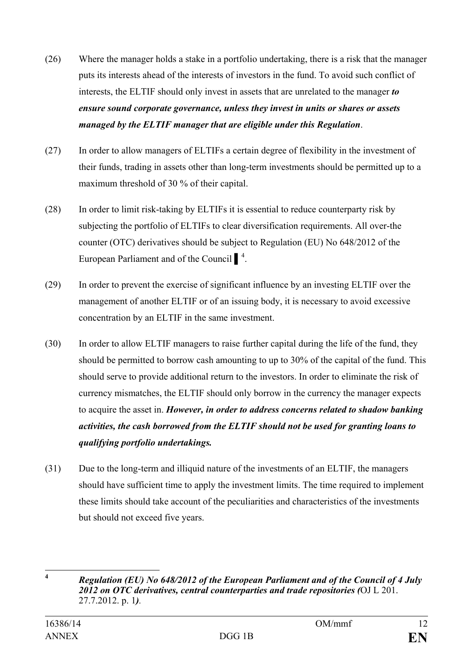- (26) Where the manager holds a stake in a portfolio undertaking, there is a risk that the manager puts its interests ahead of the interests of investors in the fund. To avoid such conflict of interests, the ELTIF should only invest in assets that are unrelated to the manager *to ensure sound corporate governance, unless they invest in units or shares or assets managed by the ELTIF manager that are eligible under this Regulation*.
- (27) In order to allow managers of ELTIFs a certain degree of flexibility in the investment of their funds, trading in assets other than long-term investments should be permitted up to a maximum threshold of 30 % of their capital.
- (28) In order to limit risk-taking by ELTIFs it is essential to reduce counterparty risk by subjecting the portfolio of ELTIFs to clear diversification requirements. All over-the counter (OTC) derivatives should be subject to Regulation (EU) No 648/2012 of the European Parliament and of the Council  $\int_{0}^{4}$  $\int_{0}^{4}$  $\int_{0}^{4}$ .
- (29) In order to prevent the exercise of significant influence by an investing ELTIF over the management of another ELTIF or of an issuing body, it is necessary to avoid excessive concentration by an ELTIF in the same investment.
- (30) In order to allow ELTIF managers to raise further capital during the life of the fund, they should be permitted to borrow cash amounting to up to 30% of the capital of the fund. This should serve to provide additional return to the investors. In order to eliminate the risk of currency mismatches, the ELTIF should only borrow in the currency the manager expects to acquire the asset in. *However, in order to address concerns related to shadow banking activities, the cash borrowed from the ELTIF should not be used for granting loans to qualifying portfolio undertakings.*
- (31) Due to the long-term and illiquid nature of the investments of an ELTIF, the managers should have sufficient time to apply the investment limits. The time required to implement these limits should take account of the peculiarities and characteristics of the investments but should not exceed five years.

<span id="page-11-0"></span>**<sup>4</sup>** *Regulation (EU) No 648/2012 of the European Parliament and of the Council of 4 July 2012 on OTC derivatives, central counterparties and trade repositories (*OJ L 201. 27.7.2012. p. 1*).*  $\overline{\mathbf{4}}$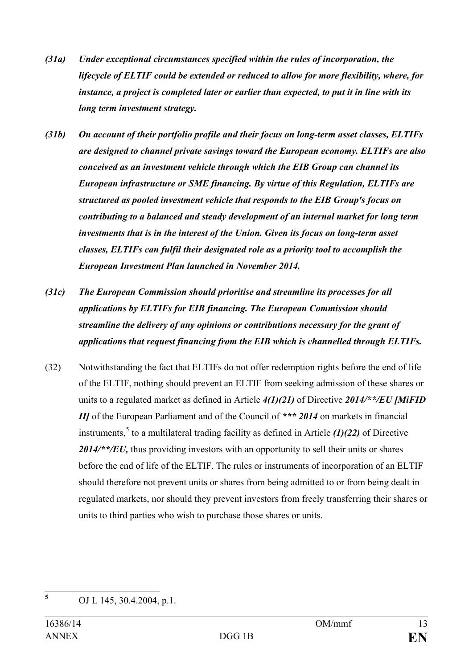- *(31a) Under exceptional circumstances specified within the rules of incorporation, the lifecycle of ELTIF could be extended or reduced to allow for more flexibility, where, for instance, a project is completed later or earlier than expected, to put it in line with its long term investment strategy.*
- *(31b) On account of their portfolio profile and their focus on long-term asset classes, ELTIFs are designed to channel private savings toward the European economy. ELTIFs are also conceived as an investment vehicle through which the EIB Group can channel its European infrastructure or SME financing. By virtue of this Regulation, ELTIFs are structured as pooled investment vehicle that responds to the EIB Group's focus on contributing to a balanced and steady development of an internal market for long term investments that is in the interest of the Union. Given its focus on long-term asset classes, ELTIFs can fulfil their designated role as a priority tool to accomplish the European Investment Plan launched in November 2014.*
- *(31c) The European Commission should prioritise and streamline its processes for all applications by ELTIFs for EIB financing. The European Commission should streamline the delivery of any opinions or contributions necessary for the grant of applications that request financing from the EIB which is channelled through ELTIFs.*
- (32) Notwithstanding the fact that ELTIFs do not offer redemption rights before the end of life of the ELTIF, nothing should prevent an ELTIF from seeking admission of these shares or units to a regulated market as defined in Article *4(1)(21)* of Directive *2014/\*\*/EU [MiFID II]* of the European Parliament and of the Council of \*\*\* 2014 on markets in financial instruments,<sup>[5](#page-12-0)</sup> to a multilateral trading facility as defined in Article  $(1)(22)$  of Directive *2014/\*\*/EU,* thus providing investors with an opportunity to sell their units or shares before the end of life of the ELTIF. The rules or instruments of incorporation of an ELTIF should therefore not prevent units or shares from being admitted to or from being dealt in regulated markets, nor should they prevent investors from freely transferring their shares or units to third parties who wish to purchase those shares or units.

<span id="page-12-0"></span>**<sup>5</sup>** OJ L 145, 30.4.2004, p.1.  $\overline{5}$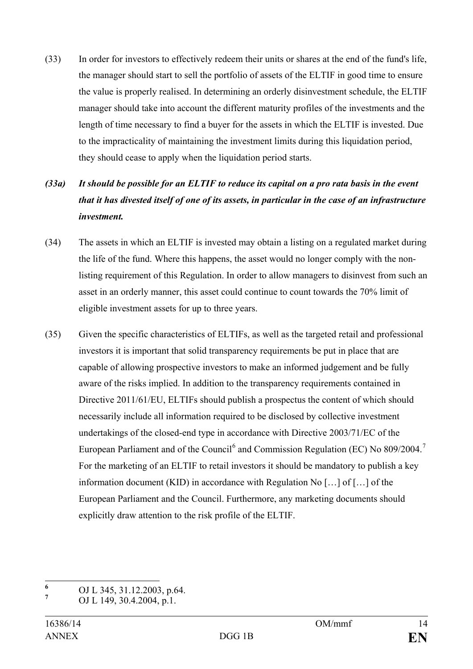(33) In order for investors to effectively redeem their units or shares at the end of the fund's life, the manager should start to sell the portfolio of assets of the ELTIF in good time to ensure the value is properly realised. In determining an orderly disinvestment schedule, the ELTIF manager should take into account the different maturity profiles of the investments and the length of time necessary to find a buyer for the assets in which the ELTIF is invested. Due to the impracticality of maintaining the investment limits during this liquidation period, they should cease to apply when the liquidation period starts.

## *(33a) It should be possible for an ELTIF to reduce its capital on a pro rata basis in the event that it has divested itself of one of its assets, in particular in the case of an infrastructure investment.*

- (34) The assets in which an ELTIF is invested may obtain a listing on a regulated market during the life of the fund. Where this happens, the asset would no longer comply with the nonlisting requirement of this Regulation. In order to allow managers to disinvest from such an asset in an orderly manner, this asset could continue to count towards the 70% limit of eligible investment assets for up to three years.
- (35) Given the specific characteristics of ELTIFs, as well as the targeted retail and professional investors it is important that solid transparency requirements be put in place that are capable of allowing prospective investors to make an informed judgement and be fully aware of the risks implied. In addition to the transparency requirements contained in Directive 2011/61/EU, ELTIFs should publish a prospectus the content of which should necessarily include all information required to be disclosed by collective investment undertakings of the closed-end type in accordance with Directive 2003/71/EC of the European Parliament and of the Council<sup>[6](#page-13-0)</sup> and Commission Regulation (EC) No  $809/2004$ .<sup>[7](#page-13-1)</sup> For the marketing of an ELTIF to retail investors it should be mandatory to publish a key information document (KID) in accordance with Regulation No […] of […] of the European Parliament and the Council. Furthermore, any marketing documents should explicitly draw attention to the risk profile of the ELTIF.

<span id="page-13-1"></span><span id="page-13-0"></span>**<sup>6</sup>** OJ L 345, 31.12.2003, p.64. **<sup>7</sup>** OJ L 149, 30.4.2004, p.1.  $\boldsymbol{6}$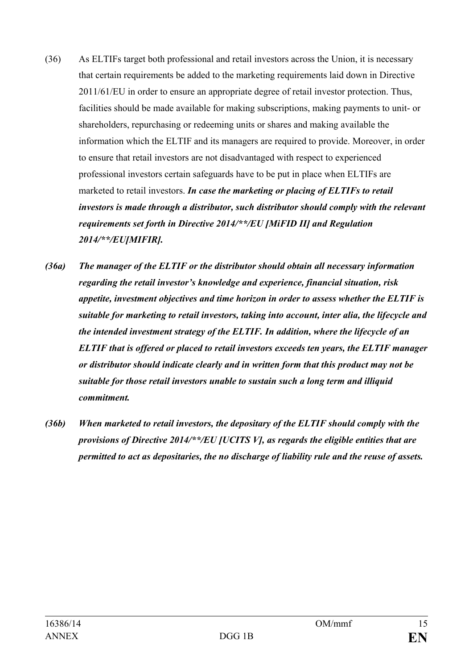- (36) As ELTIFs target both professional and retail investors across the Union, it is necessary that certain requirements be added to the marketing requirements laid down in Directive 2011/61/EU in order to ensure an appropriate degree of retail investor protection. Thus, facilities should be made available for making subscriptions, making payments to unit- or shareholders, repurchasing or redeeming units or shares and making available the information which the ELTIF and its managers are required to provide. Moreover, in order to ensure that retail investors are not disadvantaged with respect to experienced professional investors certain safeguards have to be put in place when ELTIFs are marketed to retail investors. *In case the marketing or placing of ELTIFs to retail investors is made through a distributor, such distributor should comply with the relevant requirements set forth in Directive 2014/\*\*/EU [MiFID II] and Regulation 2014/\*\*/EU[MIFIR].*
- *(36a) The manager of the ELTIF or the distributor should obtain all necessary information regarding the retail investor's knowledge and experience, financial situation, risk appetite, investment objectives and time horizon in order to assess whether the ELTIF is suitable for marketing to retail investors, taking into account, inter alia, the lifecycle and the intended investment strategy of the ELTIF. In addition, where the lifecycle of an ELTIF that is offered or placed to retail investors exceeds ten years, the ELTIF manager or distributor should indicate clearly and in written form that this product may not be suitable for those retail investors unable to sustain such a long term and illiquid commitment.*
- *(36b) When marketed to retail investors, the depositary of the ELTIF should comply with the provisions of Directive 2014/\*\*/EU [UCITS V], as regards the eligible entities that are permitted to act as depositaries, the no discharge of liability rule and the reuse of assets.*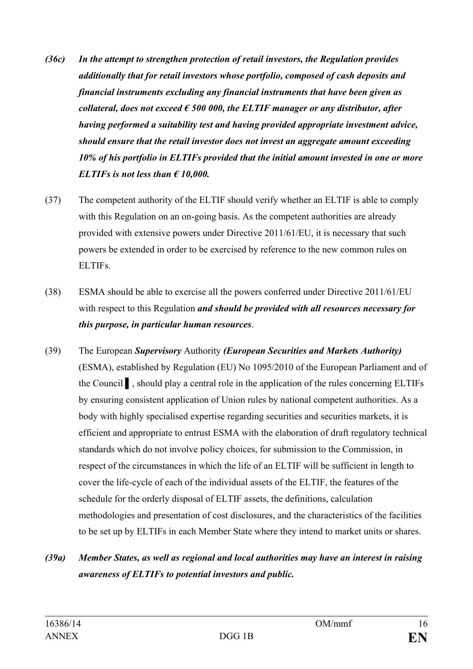- *(36c) In the attempt to strengthen protection of retail investors, the Regulation provides additionally that for retail investors whose portfolio, composed of cash deposits and financial instruments excluding any financial instruments that have been given as collateral, does not exceed*  $\epsilon$  *500 000, the ELTIF manager or any distributor, after having performed a suitability test and having provided appropriate investment advice, should ensure that the retail investor does not invest an aggregate amount exceeding 10% of his portfolio in ELTIFs provided that the initial amount invested in one or more ELTIFs is not less than € 10,000.*
- (37) The competent authority of the ELTIF should verify whether an ELTIF is able to comply with this Regulation on an on-going basis. As the competent authorities are already provided with extensive powers under Directive 2011/61/EU, it is necessary that such powers be extended in order to be exercised by reference to the new common rules on ELTIFs.
- (38) ESMA should be able to exercise all the powers conferred under Directive 2011/61/EU with respect to this Regulation *and should be provided with all resources necessary for this purpose, in particular human resources*.
- (39) The European *Supervisory* Authority *(European Securities and Markets Authority)* (ESMA), established by Regulation (EU) No 1095/2010 of the European Parliament and of the Council ▌, should play a central role in the application of the rules concerning ELTIFs by ensuring consistent application of Union rules by national competent authorities. As a body with highly specialised expertise regarding securities and securities markets, it is efficient and appropriate to entrust ESMA with the elaboration of draft regulatory technical standards which do not involve policy choices, for submission to the Commission, in respect of the circumstances in which the life of an ELTIF will be sufficient in length to cover the life-cycle of each of the individual assets of the ELTIF, the features of the schedule for the orderly disposal of ELTIF assets, the definitions, calculation methodologies and presentation of cost disclosures, and the characteristics of the facilities to be set up by ELTIFs in each Member State where they intend to market units or shares.

## *(39a) Member States, as well as regional and local authorities may have an interest in raising awareness of ELTIFs to potential investors and public.*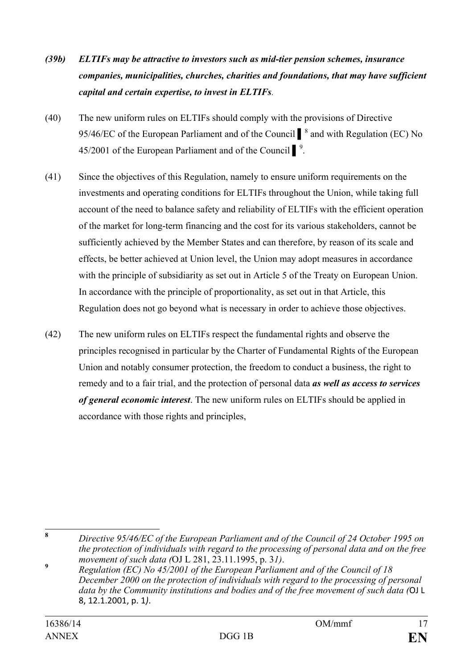- *(39b) ELTIFs may be attractive to investors such as mid-tier pension schemes, insurance companies, municipalities, churches, charities and foundations, that may have sufficient capital and certain expertise, to invest in ELTIFs*.
- (40) The new uniform rules on ELTIFs should comply with the provisions of Directive 95/46/EC of the European Parliament and of the Council ■<sup>[8](#page-16-0)</sup> and with Regulation (EC) No  $45/2001$  of the European Parliament and of the Council  $\int_{0}^{9}$  $\int_{0}^{9}$  $\int_{0}^{9}$ .
- (41) Since the objectives of this Regulation, namely to ensure uniform requirements on the investments and operating conditions for ELTIFs throughout the Union, while taking full account of the need to balance safety and reliability of ELTIFs with the efficient operation of the market for long-term financing and the cost for its various stakeholders, cannot be sufficiently achieved by the Member States and can therefore, by reason of its scale and effects, be better achieved at Union level, the Union may adopt measures in accordance with the principle of subsidiarity as set out in Article 5 of the Treaty on European Union. In accordance with the principle of proportionality, as set out in that Article, this Regulation does not go beyond what is necessary in order to achieve those objectives.
- (42) The new uniform rules on ELTIFs respect the fundamental rights and observe the principles recognised in particular by the Charter of Fundamental Rights of the European Union and notably consumer protection, the freedom to conduct a business, the right to remedy and to a fair trial, and the protection of personal data *as well as access to services of general economic interest*. The new uniform rules on ELTIFs should be applied in accordance with those rights and principles,

<span id="page-16-0"></span>**<sup>8</sup>** *Directive 95/46/EC of the European Parliament and of the Council of 24 October 1995 on the protection of individuals with regard to the processing of personal data and on the free movement of such data (*OJ L 281, 23.11.1995, p. 3*1)*. **<sup>9</sup>** *Regulation (EC) No 45/2001 of the European Parliament and of the Council of 18*   $\bf{8}$ 

<span id="page-16-1"></span>*December 2000 on the protection of individuals with regard to the processing of personal data by the Community institutions and bodies and of the free movement of such data (*OJ L 8, 12.1.2001, p. 1*)*.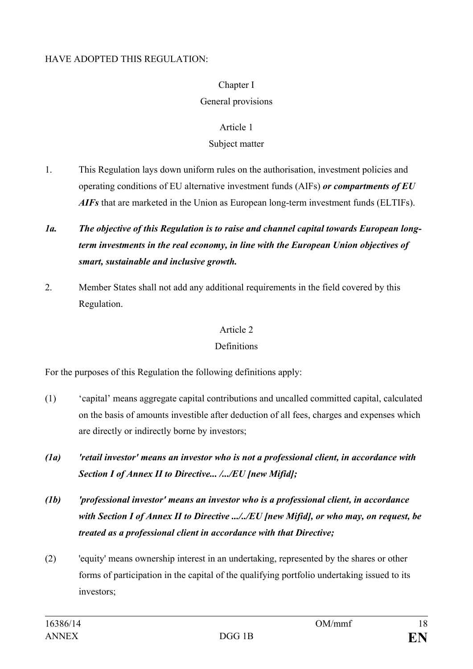#### HAVE ADOPTED THIS REGULATION:

## Chapter I

## General provisions

### Article 1

### Subject matter

- 1. This Regulation lays down uniform rules on the authorisation, investment policies and operating conditions of EU alternative investment funds (AIFs) *or compartments of EU AIFs* that are marketed in the Union as European long-term investment funds (ELTIFs).
- *1a. The objective of this Regulation is to raise and channel capital towards European longterm investments in the real economy, in line with the European Union objectives of smart, sustainable and inclusive growth.*
- 2. Member States shall not add any additional requirements in the field covered by this Regulation.

### Article 2

## **Definitions**

For the purposes of this Regulation the following definitions apply:

- (1) 'capital' means aggregate capital contributions and uncalled committed capital, calculated on the basis of amounts investible after deduction of all fees, charges and expenses which are directly or indirectly borne by investors;
- *(1a) 'retail investor' means an investor who is not a professional client, in accordance with Section I of Annex II to Directive... /.../EU [new Mifid];*
- *(1b) 'professional investor' means an investor who is a professional client, in accordance with Section I of Annex II to Directive .../../EU [new Mifid], or who may, on request, be treated as a professional client in accordance with that Directive;*
- (2) 'equity' means ownership interest in an undertaking, represented by the shares or other forms of participation in the capital of the qualifying portfolio undertaking issued to its investors;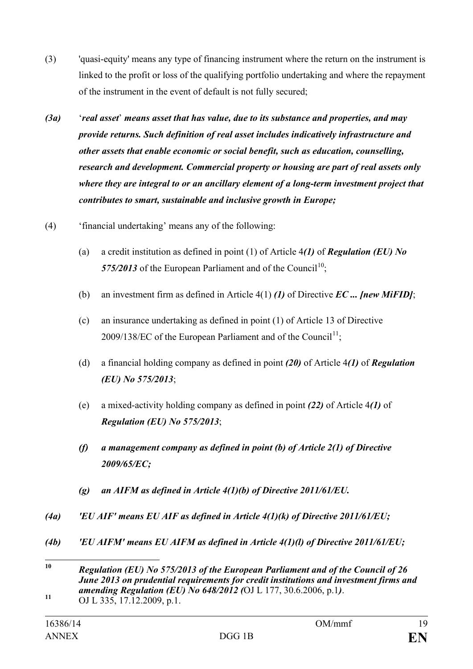- (3) 'quasi-equity' means any type of financing instrument where the return on the instrument is linked to the profit or loss of the qualifying portfolio undertaking and where the repayment of the instrument in the event of default is not fully secured;
- *(3a)* '*real asset*' *means asset that has value, due to its substance and properties, and may provide returns. Such definition of real asset includes indicatively infrastructure and other assets that enable economic or social benefit, such as education, counselling, research and development. Commercial property or housing are part of real assets only where they are integral to or an ancillary element of a long-term investment project that contributes to smart, sustainable and inclusive growth in Europe;*
- (4) 'financial undertaking' means any of the following:
	- (a) a credit institution as defined in point (1) of Article 4*(1)* of *Regulation (EU) No*  575/2013 of the European Parliament and of the Council<sup>[10](#page-18-0)</sup>;
	- (b) an investment firm as defined in Article 4(1) *(1)* of Directive *EC ... [new MiFID]*;
	- (c) an insurance undertaking as defined in point (1) of Article 13 of Directive  $2009/138/EC$  of the European Parliament and of the Council<sup>11</sup>;
	- (d) a financial holding company as defined in point *(20)* of Article 4*(1)* of *Regulation (EU) No 575/2013*;
	- (e) a mixed-activity holding company as defined in point *(22)* of Article 4*(1)* of *Regulation (EU) No 575/2013*;
	- *(f) a management company as defined in point (b) of Article 2(1) of Directive 2009/65/EC;*
	- *(g) an AIFM as defined in Article 4(1)(b) of Directive 2011/61/EU.*
- *(4a) 'EU AIF' means EU AIF as defined in Article 4(1)(k) of Directive 2011/61/EU;*
- *(4b) 'EU AIFM' means EU AIFM as defined in Article 4(1)(l) of Directive 2011/61/EU;*

<span id="page-18-0"></span>**<sup>10</sup>** *Regulation (EU) No 575/2013 of the European Parliament and of the Council of 26 June 2013 on prudential requirements for credit institutions and investment firms and amending Regulation (EU) No 648/2012 (OJ L 177, 30.6.2006, p.1). OJ L 335, 17.12.2009, p.1.*  $10$ 

<span id="page-18-1"></span>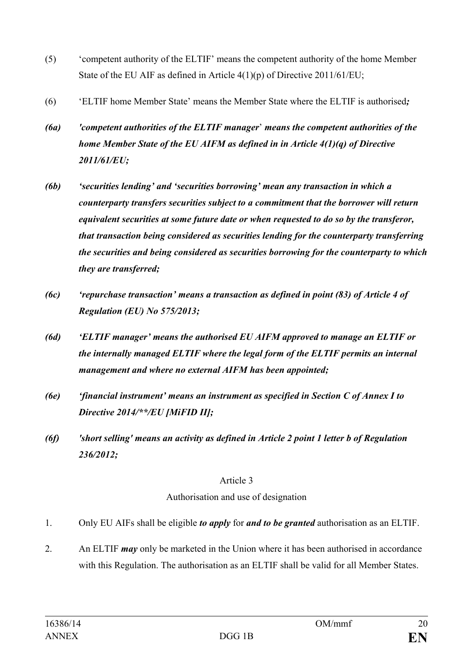- (5) 'competent authority of the ELTIF' means the competent authority of the home Member State of the EU AIF as defined in Article 4(1)(p) of Directive 2011/61/EU;
- (6) 'ELTIF home Member State' means the Member State where the ELTIF is authorised*;*
- *(6a) 'competent authorities of the ELTIF manager*' *means the competent authorities of the home Member State of the EU AIFM as defined in in Article 4(1)(q) of Directive 2011/61/EU;*
- *(6b) 'securities lending' and 'securities borrowing' mean any transaction in which a counterparty transfers securities subject to a commitment that the borrower will return equivalent securities at some future date or when requested to do so by the transferor, that transaction being considered as securities lending for the counterparty transferring the securities and being considered as securities borrowing for the counterparty to which they are transferred;*
- *(6c) 'repurchase transaction' means a transaction as defined in point (83) of Article 4 of Regulation (EU) No 575/2013;*
- *(6d) 'ELTIF manager' means the authorised EU AIFM approved to manage an ELTIF or the internally managed ELTIF where the legal form of the ELTIF permits an internal management and where no external AIFM has been appointed;*
- *(6e) 'financial instrument' means an instrument as specified in Section C of Annex I to Directive 2014/\*\*/EU [MiFID II];*
- *(6f) 'short selling' means an activity as defined in Article 2 point 1 letter b of Regulation 236/2012;*

#### Article 3

#### Authorisation and use of designation

- 1. Only EU AIFs shall be eligible *to apply* for *and to be granted* authorisation as an ELTIF.
- 2. An ELTIF *may* only be marketed in the Union where it has been authorised in accordance with this Regulation. The authorisation as an ELTIF shall be valid for all Member States.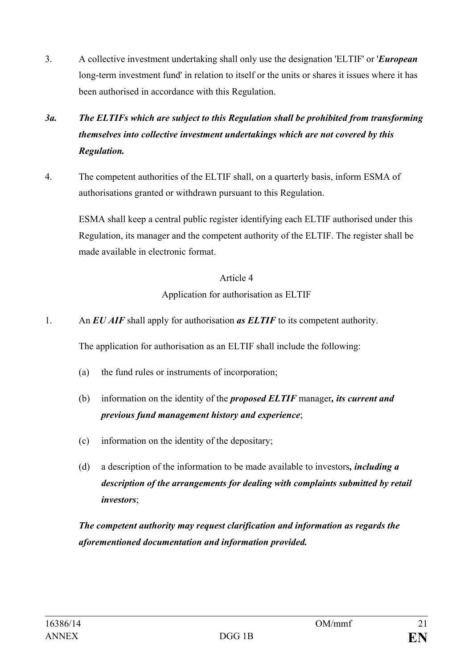3. A collective investment undertaking shall only use the designation 'ELTIF' or '*European* long-term investment fund' in relation to itself or the units or shares it issues where it has been authorised in accordance with this Regulation.

## *3a. The ELTIFs which are subject to this Regulation shall be prohibited from transforming themselves into collective investment undertakings which are not covered by this Regulation.*

4. The competent authorities of the ELTIF shall, on a quarterly basis, inform ESMA of authorisations granted or withdrawn pursuant to this Regulation.

ESMA shall keep a central public register identifying each ELTIF authorised under this Regulation, its manager and the competent authority of the ELTIF. The register shall be made available in electronic format.

### Article 4

Application for authorisation as ELTIF

1. An *EU AIF* shall apply for authorisation *as ELTIF* to its competent authority.

The application for authorisation as an ELTIF shall include the following:

- (a) the fund rules or instruments of incorporation;
- (b) information on the identity of the *proposed ELTIF* manager*, its current and previous fund management history and experience*;
- (c) information on the identity of the depositary;
- (d) a description of the information to be made available to investors*, including a description of the arrangements for dealing with complaints submitted by retail investors*;

*The competent authority may request clarification and information as regards the aforementioned documentation and information provided.*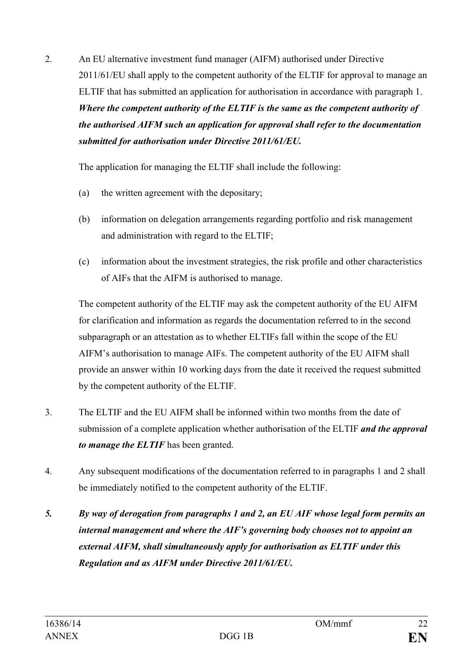2. An EU alternative investment fund manager (AIFM) authorised under Directive 2011/61/EU shall apply to the competent authority of the ELTIF for approval to manage an ELTIF that has submitted an application for authorisation in accordance with paragraph 1. *Where the competent authority of the ELTIF is the same as the competent authority of the authorised AIFM such an application for approval shall refer to the documentation submitted for authorisation under Directive 2011/61/EU.*

The application for managing the ELTIF shall include the following:

- (a) the written agreement with the depositary;
- (b) information on delegation arrangements regarding portfolio and risk management and administration with regard to the ELTIF;
- (c) information about the investment strategies, the risk profile and other characteristics of AIFs that the AIFM is authorised to manage.

The competent authority of the ELTIF may ask the competent authority of the EU AIFM for clarification and information as regards the documentation referred to in the second subparagraph or an attestation as to whether ELTIFs fall within the scope of the EU AIFM's authorisation to manage AIFs. The competent authority of the EU AIFM shall provide an answer within 10 working days from the date it received the request submitted by the competent authority of the ELTIF.

- 3. The ELTIF and the EU AIFM shall be informed within two months from the date of submission of a complete application whether authorisation of the ELTIF *and the approval to manage the ELTIF* has been granted.
- 4. Any subsequent modifications of the documentation referred to in paragraphs 1 and 2 shall be immediately notified to the competent authority of the ELTIF.
- *5. By way of derogation from paragraphs 1 and 2, an EU AIF whose legal form permits an internal management and where the AIF's governing body chooses not to appoint an external AIFM, shall simultaneously apply for authorisation as ELTIF under this Regulation and as AIFM under Directive 2011/61/EU.*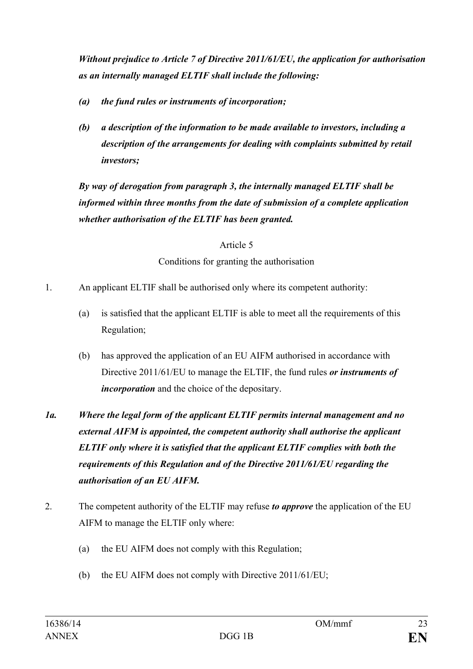*Without prejudice to Article 7 of Directive 2011/61/EU, the application for authorisation as an internally managed ELTIF shall include the following:*

- *(a) the fund rules or instruments of incorporation;*
- *(b) a description of the information to be made available to investors, including a description of the arrangements for dealing with complaints submitted by retail investors;*

*By way of derogation from paragraph 3, the internally managed ELTIF shall be informed within three months from the date of submission of a complete application whether authorisation of the ELTIF has been granted.*

> Article 5 Conditions for granting the authorisation

1. An applicant ELTIF shall be authorised only where its competent authority:

- (a) is satisfied that the applicant ELTIF is able to meet all the requirements of this Regulation;
- (b) has approved the application of an EU AIFM authorised in accordance with Directive 2011/61/EU to manage the ELTIF, the fund rules *or instruments of incorporation* and the choice of the depositary.

*1a. Where the legal form of the applicant ELTIF permits internal management and no external AIFM is appointed, the competent authority shall authorise the applicant ELTIF only where it is satisfied that the applicant ELTIF complies with both the requirements of this Regulation and of the Directive 2011/61/EU regarding the authorisation of an EU AIFM.*

- 2. The competent authority of the ELTIF may refuse *to approve* the application of the EU AIFM to manage the ELTIF only where:
	- (a) the EU AIFM does not comply with this Regulation;
	- (b) the EU AIFM does not comply with Directive 2011/61/EU;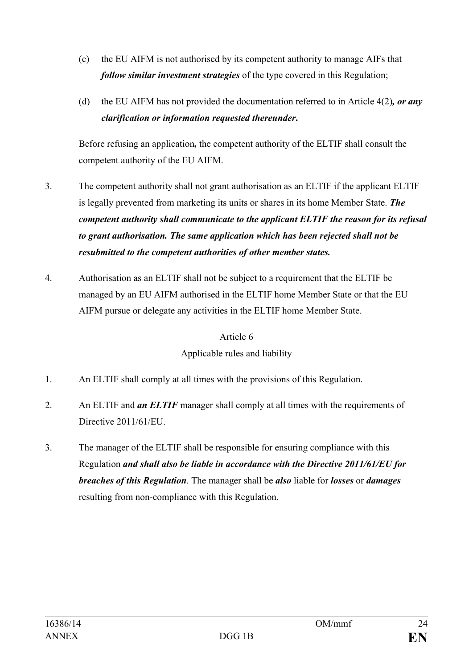- (c) the EU AIFM is not authorised by its competent authority to manage AIFs that *follow similar investment strategies* of the type covered in this Regulation;
- (d) the EU AIFM has not provided the documentation referred to in Article 4(2)*, or any clarification or information requested thereunder***.**

Before refusing an application*,* the competent authority of the ELTIF shall consult the competent authority of the EU AIFM.

- 3. The competent authority shall not grant authorisation as an ELTIF if the applicant ELTIF is legally prevented from marketing its units or shares in its home Member State. *The competent authority shall communicate to the applicant ELTIF the reason for its refusal to grant authorisation. The same application which has been rejected shall not be resubmitted to the competent authorities of other member states.*
- 4. Authorisation as an ELTIF shall not be subject to a requirement that the ELTIF be managed by an EU AIFM authorised in the ELTIF home Member State or that the EU AIFM pursue or delegate any activities in the ELTIF home Member State.

## Article 6 Applicable rules and liability

- 1. An ELTIF shall comply at all times with the provisions of this Regulation.
- 2. An ELTIF and *an ELTIF* manager shall comply at all times with the requirements of Directive 2011/61/EU.
- 3. The manager of the ELTIF shall be responsible for ensuring compliance with this Regulation *and shall also be liable in accordance with the Directive 2011/61/EU for breaches of this Regulation*. The manager shall be *also* liable for *losses* or *damages* resulting from non-compliance with this Regulation.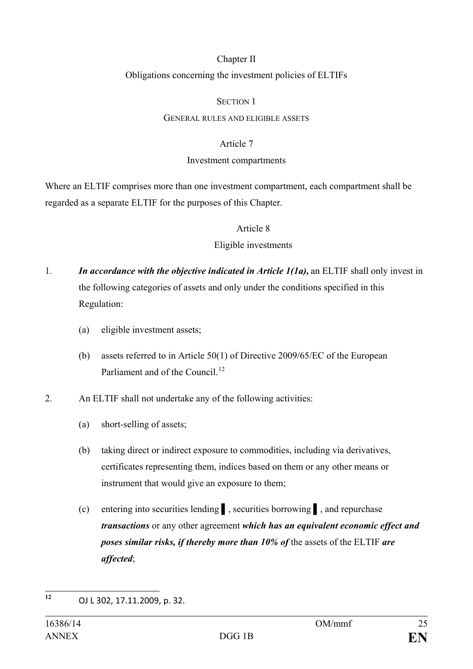#### Chapter II

#### Obligations concerning the investment policies of ELTIFs

#### SECTION 1

#### GENERAL RULES AND ELIGIBLE ASSETS

#### Article 7

#### Investment compartments

Where an ELTIF comprises more than one investment compartment, each compartment shall be regarded as a separate ELTIF for the purposes of this Chapter.

#### Article 8

#### Eligible investments

- 1. *In accordance with the objective indicated in Article 1(1a),* an ELTIF shall only invest in the following categories of assets and only under the conditions specified in this Regulation:
	- (a) eligible investment assets;
	- (b) assets referred to in Article 50(1) of Directive 2009/65/EC of the European Parliament and of the Council<sup>[12](#page-24-0)</sup>
- 2. An ELTIF shall not undertake any of the following activities:
	- (a) short-selling of assets;
	- (b) taking direct or indirect exposure to commodities, including via derivatives, certificates representing them, indices based on them or any other means or instrument that would give an exposure to them;
	- (c) entering into securities lending ▌, securities borrowing ▌, and repurchase *transactions* or any other agreement *which has an equivalent economic effect and poses similar risks, if thereby more than 10% of* the assets of the ELTIF *are affected*;

<span id="page-24-0"></span>**<sup>12</sup>** OJ L 302, 17.11.2009, p. 32.  $12$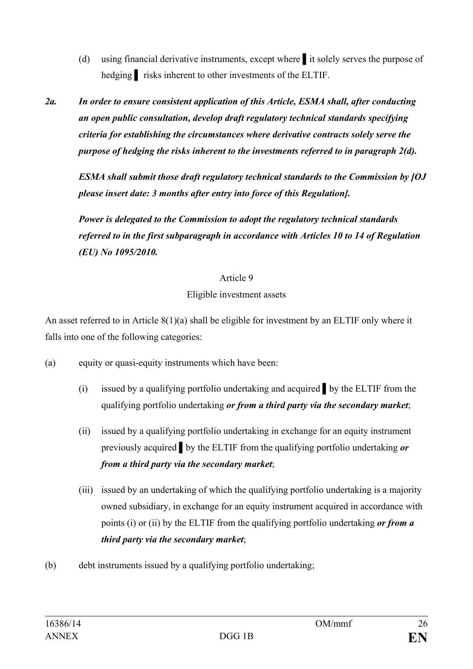- (d) using financial derivative instruments, except where ▌it solely serves the purpose of hedging risks inherent to other investments of the ELTIF.
- *2a. In order to ensure consistent application of this Article, ESMA shall, after conducting an open public consultation, develop draft regulatory technical standards specifying criteria for establishing the circumstances where derivative contracts solely serve the purpose of hedging the risks inherent to the investments referred to in paragraph 2(d).*

*ESMA shall submit those draft regulatory technical standards to the Commission by [OJ please insert date: 3 months after entry into force of this Regulation].*

*Power is delegated to the Commission to adopt the regulatory technical standards referred to in the first subparagraph in accordance with Articles 10 to 14 of Regulation (EU) No 1095/2010.*

#### Article 9

### Eligible investment assets

An asset referred to in Article 8(1)(a) shall be eligible for investment by an ELTIF only where it falls into one of the following categories:

- (a) equity or quasi-equity instruments which have been:
	- (i) issued by a qualifying portfolio undertaking and acquired ▌by the ELTIF from the qualifying portfolio undertaking *or from a third party via the secondary market*;
	- (ii) issued by a qualifying portfolio undertaking in exchange for an equity instrument previously acquired ▌by the ELTIF from the qualifying portfolio undertaking *or from a third party via the secondary market*;
	- (iii) issued by an undertaking of which the qualifying portfolio undertaking is a majority owned subsidiary, in exchange for an equity instrument acquired in accordance with points (i) or (ii) by the ELTIF from the qualifying portfolio undertaking *or from a third party via the secondary market*;
- (b) debt instruments issued by a qualifying portfolio undertaking;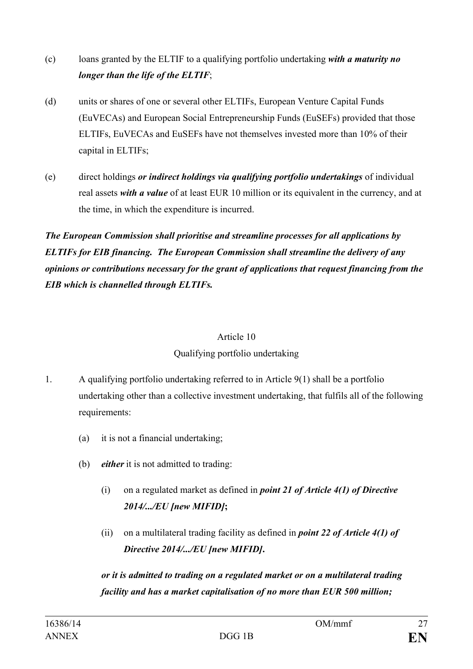- (c) loans granted by the ELTIF to a qualifying portfolio undertaking *with a maturity no longer than the life of the ELTIF*;
- (d) units or shares of one or several other ELTIFs, European Venture Capital Funds (EuVECAs) and European Social Entrepreneurship Funds (EuSEFs) provided that those ELTIFs, EuVECAs and EuSEFs have not themselves invested more than 10% of their capital in ELTIFs;
- (e) direct holdings *or indirect holdings via qualifying portfolio undertakings* of individual real assets *with a value* of at least EUR 10 million or its equivalent in the currency, and at the time, in which the expenditure is incurred.

*The European Commission shall prioritise and streamline processes for all applications by ELTIFs for EIB financing. The European Commission shall streamline the delivery of any opinions or contributions necessary for the grant of applications that request financing from the EIB which is channelled through ELTIFs.*

#### Article 10

## Qualifying portfolio undertaking

- 1. A qualifying portfolio undertaking referred to in Article 9(1) shall be a portfolio undertaking other than a collective investment undertaking, that fulfils all of the following requirements:
	- (a) it is not a financial undertaking;
	- (b) *either* it is not admitted to trading:
		- (i) on a regulated market as defined in *point 21 of Article 4(1) of Directive 2014/.../EU [new MIFID]***;**
		- (ii) on a multilateral trading facility as defined in *point 22 of Article 4(1) of Directive 2014/.../EU [new MIFID]***.**

*or it is admitted to trading on a regulated market or on a multilateral trading facility and has a market capitalisation of no more than EUR 500 million;*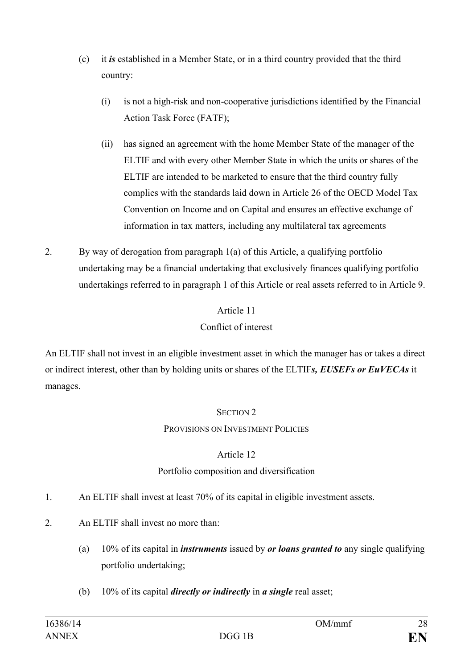- (c) it *is* established in a Member State, or in a third country provided that the third country:
	- (i) is not a high-risk and non-cooperative jurisdictions identified by the Financial Action Task Force (FATF);
	- (ii) has signed an agreement with the home Member State of the manager of the ELTIF and with every other Member State in which the units or shares of the ELTIF are intended to be marketed to ensure that the third country fully complies with the standards laid down in Article 26 of the OECD Model Tax Convention on Income and on Capital and ensures an effective exchange of information in tax matters, including any multilateral tax agreements
- 2. By way of derogation from paragraph 1(a) of this Article, a qualifying portfolio undertaking may be a financial undertaking that exclusively finances qualifying portfolio undertakings referred to in paragraph 1 of this Article or real assets referred to in Article 9.

### Article 11

## Conflict of interest

An ELTIF shall not invest in an eligible investment asset in which the manager has or takes a direct or indirect interest, other than by holding units or shares of the ELTIF*s, EUSEFs or EuVECAs* it manages.

## SECTION 2

## PROVISIONS ON INVESTMENT POLICIES

## Article 12

## Portfolio composition and diversification

- 1. An ELTIF shall invest at least 70% of its capital in eligible investment assets.
- 2. An ELTIF shall invest no more than:
	- (a) 10% of its capital in *instruments* issued by *or loans granted to* any single qualifying portfolio undertaking;
	- (b) 10% of its capital *directly or indirectly* in *a single* real asset;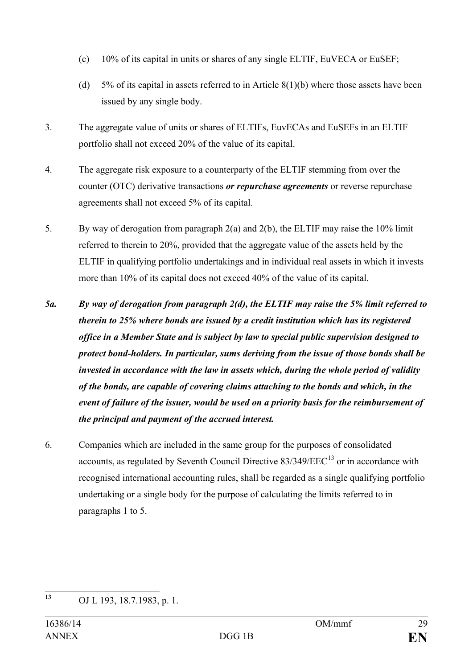- (c) 10% of its capital in units or shares of any single ELTIF, EuVECA or EuSEF;
- (d) 5% of its capital in assets referred to in Article 8(1)(b) where those assets have been issued by any single body.
- 3. The aggregate value of units or shares of ELTIFs, EuvECAs and EuSEFs in an ELTIF portfolio shall not exceed 20% of the value of its capital.
- 4. The aggregate risk exposure to a counterparty of the ELTIF stemming from over the counter (OTC) derivative transactions *or repurchase agreements* or reverse repurchase agreements shall not exceed 5% of its capital.
- 5. By way of derogation from paragraph 2(a) and 2(b), the ELTIF may raise the 10% limit referred to therein to 20%, provided that the aggregate value of the assets held by the ELTIF in qualifying portfolio undertakings and in individual real assets in which it invests more than 10% of its capital does not exceed 40% of the value of its capital.
- *5a. By way of derogation from paragraph 2(d), the ELTIF may raise the 5% limit referred to therein to 25% where bonds are issued by a credit institution which has its registered office in a Member State and is subject by law to special public supervision designed to protect bond-holders. In particular, sums deriving from the issue of those bonds shall be invested in accordance with the law in assets which, during the whole period of validity of the bonds, are capable of covering claims attaching to the bonds and which, in the event of failure of the issuer, would be used on a priority basis for the reimbursement of the principal and payment of the accrued interest.*
- 6. Companies which are included in the same group for the purposes of consolidated accounts, as regulated by Seventh Council Directive  $83/349/EEC^{13}$  $83/349/EEC^{13}$  $83/349/EEC^{13}$  or in accordance with recognised international accounting rules, shall be regarded as a single qualifying portfolio undertaking or a single body for the purpose of calculating the limits referred to in paragraphs 1 to 5.

<span id="page-28-0"></span>**<sup>13</sup>** OJ L 193, 18.7.1983, p. 1.  $13$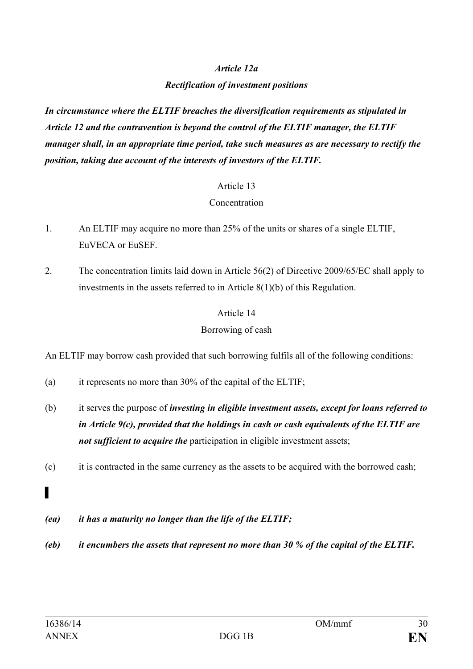#### *Article 12a*

#### *Rectification of investment positions*

*In circumstance where the ELTIF breaches the diversification requirements as stipulated in Article 12 and the contravention is beyond the control of the ELTIF manager, the ELTIF manager shall, in an appropriate time period, take such measures as are necessary to rectify the position, taking due account of the interests of investors of the ELTIF.*

#### Article 13

#### Concentration

- 1. An ELTIF may acquire no more than 25% of the units or shares of a single ELTIF, EuVECA or EuSEF.
- 2. The concentration limits laid down in Article 56(2) of Directive 2009/65/EC shall apply to investments in the assets referred to in Article 8(1)(b) of this Regulation.

## Article 14

### Borrowing of cash

An ELTIF may borrow cash provided that such borrowing fulfils all of the following conditions:

- (a) it represents no more than 30% of the capital of the ELTIF;
- (b) it serves the purpose of *investing in eligible investment assets, except for loans referred to in Article 9(c), provided that the holdings in cash or cash equivalents of the ELTIF are not sufficient to acquire the* participation in eligible investment assets;
- (c) it is contracted in the same currency as the assets to be acquired with the borrowed cash;
- *▌*
- *(ea) it has a maturity no longer than the life of the ELTIF;*
- *(eb) it encumbers the assets that represent no more than 30 % of the capital of the ELTIF.*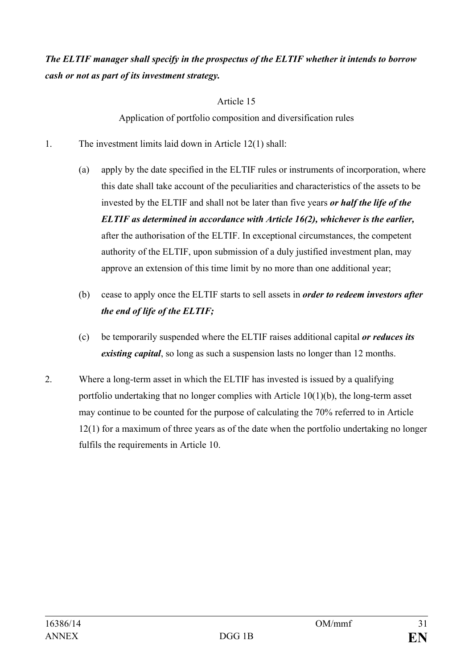## *The ELTIF manager shall specify in the prospectus of the ELTIF whether it intends to borrow cash or not as part of its investment strategy.*

### Article 15

Application of portfolio composition and diversification rules

- 1. The investment limits laid down in Article 12(1) shall:
	- (a) apply by the date specified in the ELTIF rules or instruments of incorporation, where this date shall take account of the peculiarities and characteristics of the assets to be invested by the ELTIF and shall not be later than five years *or half the life of the ELTIF as determined in accordance with Article 16(2), whichever is the earlier,* after the authorisation of the ELTIF. In exceptional circumstances, the competent authority of the ELTIF, upon submission of a duly justified investment plan, may approve an extension of this time limit by no more than one additional year;
	- (b) cease to apply once the ELTIF starts to sell assets in *order to redeem investors after the end of life of the ELTIF;*
	- (c) be temporarily suspended where the ELTIF raises additional capital *or reduces its existing capital*, so long as such a suspension lasts no longer than 12 months.
- 2. Where a long-term asset in which the ELTIF has invested is issued by a qualifying portfolio undertaking that no longer complies with Article 10(1)(b), the long-term asset may continue to be counted for the purpose of calculating the 70% referred to in Article 12(1) for a maximum of three years as of the date when the portfolio undertaking no longer fulfils the requirements in Article 10.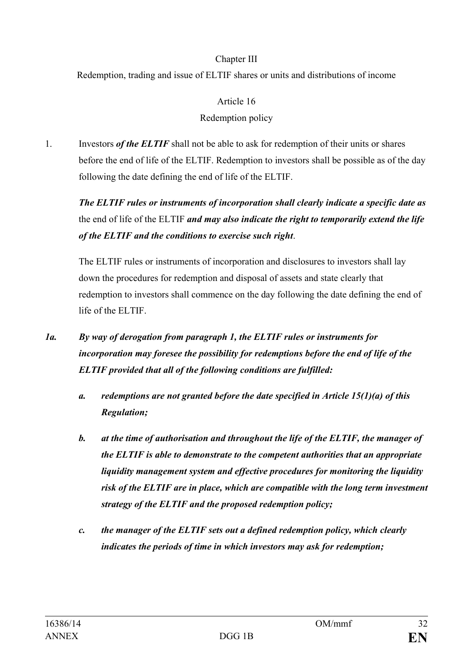### Chapter III

Redemption, trading and issue of ELTIF shares or units and distributions of income

#### Article 16

### Redemption policy

1. Investors *of the ELTIF* shall not be able to ask for redemption of their units or shares before the end of life of the ELTIF. Redemption to investors shall be possible as of the day following the date defining the end of life of the ELTIF.

*The ELTIF rules or instruments of incorporation shall clearly indicate a specific date as* the end of life of the ELTIF *and may also indicate the right to temporarily extend the life of the ELTIF and the conditions to exercise such right*.

The ELTIF rules or instruments of incorporation and disclosures to investors shall lay down the procedures for redemption and disposal of assets and state clearly that redemption to investors shall commence on the day following the date defining the end of life of the ELTIF.

- *1a. By way of derogation from paragraph 1, the ELTIF rules or instruments for incorporation may foresee the possibility for redemptions before the end of life of the ELTIF provided that all of the following conditions are fulfilled:*
	- *a. redemptions are not granted before the date specified in Article 15(1)(a) of this Regulation;*
	- *b. at the time of authorisation and throughout the life of the ELTIF, the manager of the ELTIF is able to demonstrate to the competent authorities that an appropriate liquidity management system and effective procedures for monitoring the liquidity risk of the ELTIF are in place, which are compatible with the long term investment strategy of the ELTIF and the proposed redemption policy;*
	- *c. the manager of the ELTIF sets out a defined redemption policy, which clearly indicates the periods of time in which investors may ask for redemption;*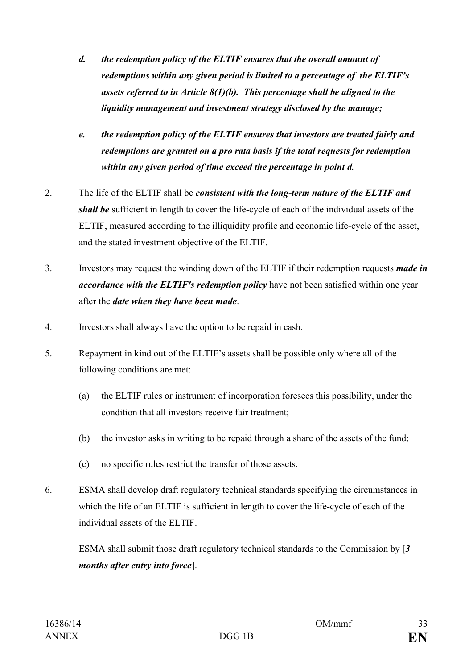- *d. the redemption policy of the ELTIF ensures that the overall amount of redemptions within any given period is limited to a percentage of the ELTIF's assets referred to in Article 8(1)(b). This percentage shall be aligned to the liquidity management and investment strategy disclosed by the manage;*
- *e. the redemption policy of the ELTIF ensures that investors are treated fairly and redemptions are granted on a pro rata basis if the total requests for redemption within any given period of time exceed the percentage in point d.*
- 2. The life of the ELTIF shall be *consistent with the long-term nature of the ELTIF and shall be* sufficient in length to cover the life-cycle of each of the individual assets of the ELTIF, measured according to the illiquidity profile and economic life-cycle of the asset, and the stated investment objective of the ELTIF.
- 3. Investors may request the winding down of the ELTIF if their redemption requests *made in accordance with the ELTIF's redemption policy* have not been satisfied within one year after the *date when they have been made*.
- 4. Investors shall always have the option to be repaid in cash.
- 5. Repayment in kind out of the ELTIF's assets shall be possible only where all of the following conditions are met:
	- (a) the ELTIF rules or instrument of incorporation foresees this possibility, under the condition that all investors receive fair treatment;
	- (b) the investor asks in writing to be repaid through a share of the assets of the fund;
	- (c) no specific rules restrict the transfer of those assets.
- 6. ESMA shall develop draft regulatory technical standards specifying the circumstances in which the life of an ELTIF is sufficient in length to cover the life-cycle of each of the individual assets of the ELTIF.

ESMA shall submit those draft regulatory technical standards to the Commission by [*3 months after entry into force*].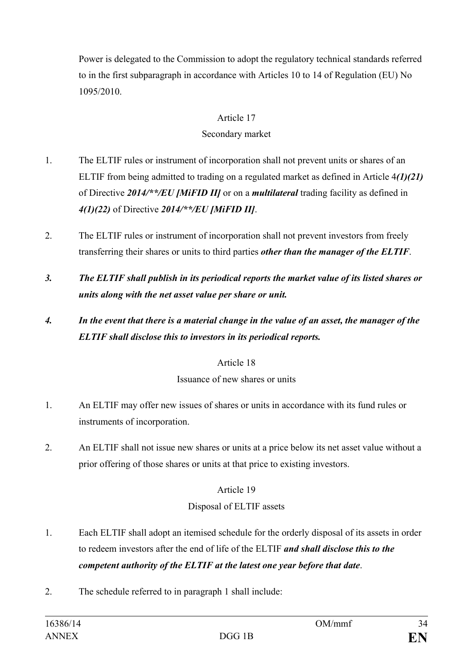Power is delegated to the Commission to adopt the regulatory technical standards referred to in the first subparagraph in accordance with Articles 10 to 14 of Regulation (EU) No 1095/2010.

### Article 17

### Secondary market

- 1. The ELTIF rules or instrument of incorporation shall not prevent units or shares of an ELTIF from being admitted to trading on a regulated market as defined in Article 4*(1)(21)* of Directive *2014/\*\*/EU [MiFID II]* or on a *multilateral* trading facility as defined in *4(1)(22)* of Directive *2014/\*\*/EU [MiFID II]*.
- 2. The ELTIF rules or instrument of incorporation shall not prevent investors from freely transferring their shares or units to third parties *other than the manager of the ELTIF*.
- *3. The ELTIF shall publish in its periodical reports the market value of its listed shares or units along with the net asset value per share or unit.*

## *4. In the event that there is a material change in the value of an asset, the manager of the ELTIF shall disclose this to investors in its periodical reports.*

## Article 18

#### Issuance of new shares or units

- 1. An ELTIF may offer new issues of shares or units in accordance with its fund rules or instruments of incorporation.
- 2. An ELTIF shall not issue new shares or units at a price below its net asset value without a prior offering of those shares or units at that price to existing investors.

## Article 19

## Disposal of ELTIF assets

- 1. Each ELTIF shall adopt an itemised schedule for the orderly disposal of its assets in order to redeem investors after the end of life of the ELTIF *and shall disclose this to the competent authority of the ELTIF at the latest one year before that date*.
- 2. The schedule referred to in paragraph 1 shall include: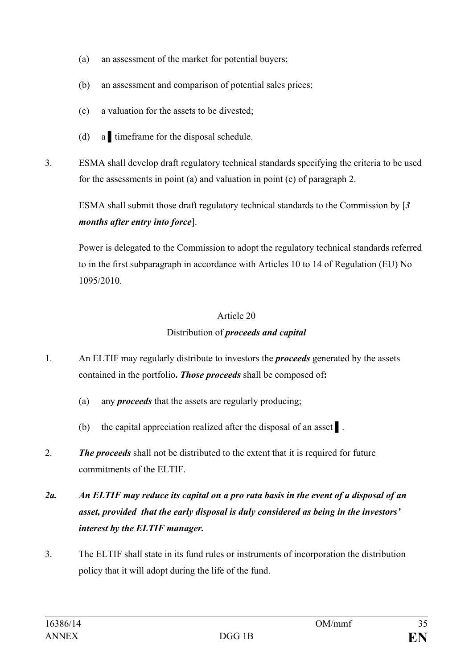- (a) an assessment of the market for potential buyers;
- (b) an assessment and comparison of potential sales prices;
- (c) a valuation for the assets to be divested;
- (d) a timeframe for the disposal schedule.
- 3. ESMA shall develop draft regulatory technical standards specifying the criteria to be used for the assessments in point (a) and valuation in point (c) of paragraph 2.

ESMA shall submit those draft regulatory technical standards to the Commission by [*3 months after entry into force*].

Power is delegated to the Commission to adopt the regulatory technical standards referred to in the first subparagraph in accordance with Articles 10 to 14 of Regulation (EU) No 1095/2010.

## Article 20

## Distribution of *proceeds and capital*

- 1. An ELTIF may regularly distribute to investors the *proceeds* generated by the assets contained in the portfolio**.** *Those proceeds* shall be composed of**:**
	- (a) any *proceeds* that the assets are regularly producing;
	- (b) the capital appreciation realized after the disposal of an asset ▌.
- 2. *The proceeds* shall not be distributed to the extent that it is required for future commitments of the ELTIF.

## *2a. An ELTIF may reduce its capital on a pro rata basis in the event of a disposal of an asset, provided that the early disposal is duly considered as being in the investors' interest by the ELTIF manager.*

3. The ELTIF shall state in its fund rules or instruments of incorporation the distribution policy that it will adopt during the life of the fund.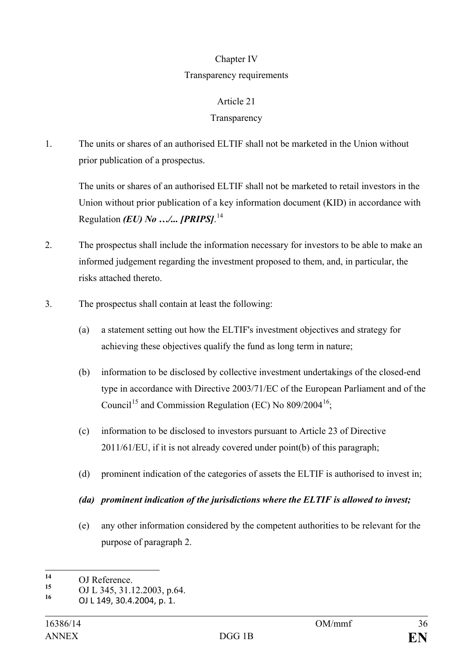#### Chapter IV

#### Transparency requirements

### Article 21

### **Transparency**

1. The units or shares of an authorised ELTIF shall not be marketed in the Union without prior publication of a prospectus.

The units or shares of an authorised ELTIF shall not be marketed to retail investors in the Union without prior publication of a key information document (KID) in accordance with Regulation *(EU) No …/... [PRIPS]*. [14](#page-35-0)

- 2. The prospectus shall include the information necessary for investors to be able to make an informed judgement regarding the investment proposed to them, and, in particular, the risks attached thereto.
- 3. The prospectus shall contain at least the following:
	- (a) a statement setting out how the ELTIF's investment objectives and strategy for achieving these objectives qualify the fund as long term in nature;
	- (b) information to be disclosed by collective investment undertakings of the closed-end type in accordance with Directive 2003/71/EC of the European Parliament and of the Council<sup>[15](#page-35-1)</sup> and Commission Regulation (EC) No  $809/2004^{16}$ ;
	- (c) information to be disclosed to investors pursuant to Article 23 of Directive 2011/61/EU, if it is not already covered under point(b) of this paragraph;
	- (d) prominent indication of the categories of assets the ELTIF is authorised to invest in;

#### *(da) prominent indication of the jurisdictions where the ELTIF is allowed to invest;*

(e) any other information considered by the competent authorities to be relevant for the purpose of paragraph 2.

<span id="page-35-0"></span><sup>14</sup> OJ Reference.<br>15 OJ 1, 245, 21, 1  $14$ 

<span id="page-35-2"></span><span id="page-35-1"></span>**<sup>15</sup>** OJ L 345, 31.12.2003, p.64. **<sup>16</sup>** OJ L 149, 30.4.2004, p. 1.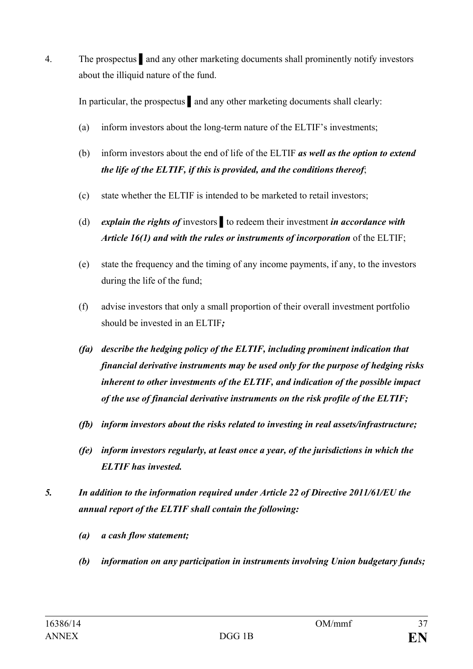4. The prospectus ▌and any other marketing documents shall prominently notify investors about the illiquid nature of the fund.

In particular, the prospectus ▌and any other marketing documents shall clearly:

- (a) inform investors about the long-term nature of the ELTIF's investments;
- (b) inform investors about the end of life of the ELTIF *as well as the option to extend the life of the ELTIF, if this is provided, and the conditions thereof*;
- (c) state whether the ELTIF is intended to be marketed to retail investors;
- (d) *explain the rights of* investors ▌to redeem their investment *in accordance with Article 16(1) and with the rules or instruments of incorporation* of the ELTIF;
- (e) state the frequency and the timing of any income payments, if any, to the investors during the life of the fund;
- (f) advise investors that only a small proportion of their overall investment portfolio should be invested in an ELTIF*;*
- *(fa) describe the hedging policy of the ELTIF, including prominent indication that financial derivative instruments may be used only for the purpose of hedging risks inherent to other investments of the ELTIF, and indication of the possible impact of the use of financial derivative instruments on the risk profile of the ELTIF;*
- *(fb) inform investors about the risks related to investing in real assets/infrastructure;*
- *(fe) inform investors regularly, at least once a year, of the jurisdictions in which the ELTIF has invested.*
- *5. In addition to the information required under Article 22 of Directive 2011/61/EU the annual report of the ELTIF shall contain the following:*
	- *(a) a cash flow statement;*
	- *(b) information on any participation in instruments involving Union budgetary funds;*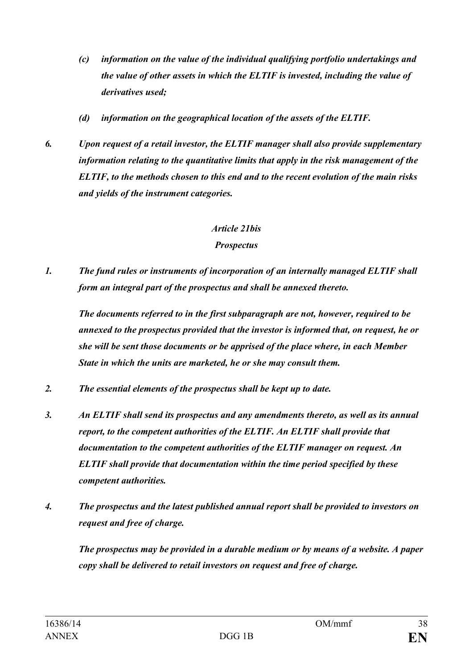- *(c) information on the value of the individual qualifying portfolio undertakings and the value of other assets in which the ELTIF is invested, including the value of derivatives used;*
- *(d) information on the geographical location of the assets of the ELTIF.*
- *6. Upon request of a retail investor, the ELTIF manager shall also provide supplementary information relating to the quantitative limits that apply in the risk management of the ELTIF, to the methods chosen to this end and to the recent evolution of the main risks and yields of the instrument categories.*

#### *Article 21bis*

#### *Prospectus*

*1. The fund rules or instruments of incorporation of an internally managed ELTIF shall form an integral part of the prospectus and shall be annexed thereto.*

*The documents referred to in the first subparagraph are not, however, required to be annexed to the prospectus provided that the investor is informed that, on request, he or she will be sent those documents or be apprised of the place where, in each Member State in which the units are marketed, he or she may consult them.*

- *2. The essential elements of the prospectus shall be kept up to date.*
- *3. An ELTIF shall send its prospectus and any amendments thereto, as well as its annual report, to the competent authorities of the ELTIF. An ELTIF shall provide that documentation to the competent authorities of the ELTIF manager on request. An ELTIF shall provide that documentation within the time period specified by these competent authorities.*
- *4. The prospectus and the latest published annual report shall be provided to investors on request and free of charge.*

*The prospectus may be provided in a durable medium or by means of a website. A paper copy shall be delivered to retail investors on request and free of charge.*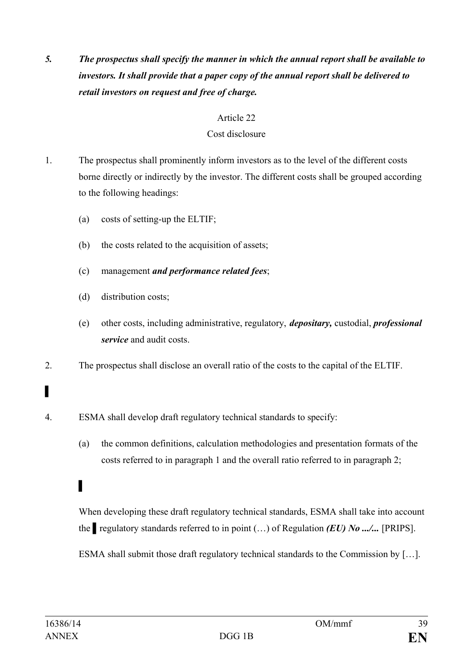*5. The prospectus shall specify the manner in which the annual report shall be available to investors. It shall provide that a paper copy of the annual report shall be delivered to retail investors on request and free of charge.*

### Article 22

### Cost disclosure

- 1. The prospectus shall prominently inform investors as to the level of the different costs borne directly or indirectly by the investor. The different costs shall be grouped according to the following headings:
	- (a) costs of setting-up the ELTIF;
	- (b) the costs related to the acquisition of assets;
	- (c) management *and performance related fees*;
	- (d) distribution costs;
	- (e) other costs, including administrative, regulatory, *depositary,* custodial, *professional service* and audit costs.
- 2. The prospectus shall disclose an overall ratio of the costs to the capital of the ELTIF.
- 4. ESMA shall develop draft regulatory technical standards to specify:
	- (a) the common definitions, calculation methodologies and presentation formats of the costs referred to in paragraph 1 and the overall ratio referred to in paragraph 2;

When developing these draft regulatory technical standards, ESMA shall take into account the ▌regulatory standards referred to in point (…) of Regulation *(EU) No .../...* [PRIPS].

ESMA shall submit those draft regulatory technical standards to the Commission by […].

▌

▌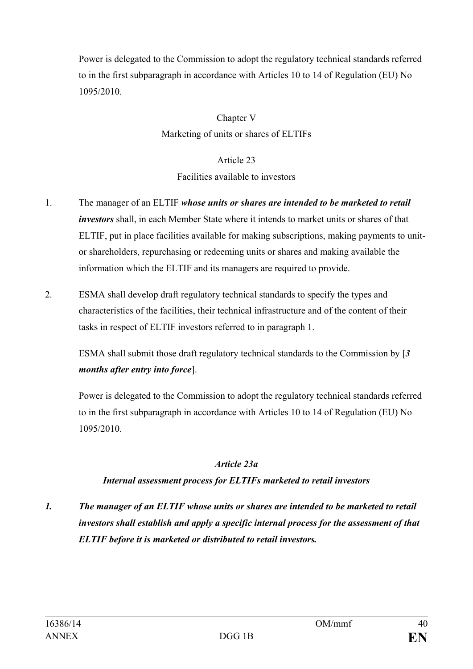Power is delegated to the Commission to adopt the regulatory technical standards referred to in the first subparagraph in accordance with Articles 10 to 14 of Regulation (EU) No 1095/2010.

> Chapter V Marketing of units or shares of ELTIFs

> > Article 23

#### Facilities available to investors

- 1. The manager of an ELTIF *whose units or shares are intended to be marketed to retail investors* shall, in each Member State where it intends to market units or shares of that ELTIF, put in place facilities available for making subscriptions, making payments to unitor shareholders, repurchasing or redeeming units or shares and making available the information which the ELTIF and its managers are required to provide.
- 2. ESMA shall develop draft regulatory technical standards to specify the types and characteristics of the facilities, their technical infrastructure and of the content of their tasks in respect of ELTIF investors referred to in paragraph 1.

ESMA shall submit those draft regulatory technical standards to the Commission by [*3 months after entry into force*].

Power is delegated to the Commission to adopt the regulatory technical standards referred to in the first subparagraph in accordance with Articles 10 to 14 of Regulation (EU) No 1095/2010.

## *Article 23a*

## *Internal assessment process for ELTIFs marketed to retail investors*

*1. The manager of an ELTIF whose units or shares are intended to be marketed to retail investors shall establish and apply a specific internal process for the assessment of that ELTIF before it is marketed or distributed to retail investors.*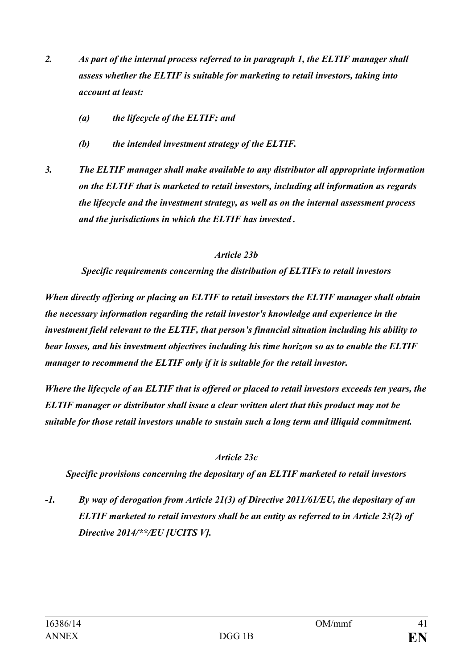- *2. As part of the internal process referred to in paragraph 1, the ELTIF manager shall assess whether the ELTIF is suitable for marketing to retail investors, taking into account at least:*
	- *(a) the lifecycle of the ELTIF; and*
	- *(b) the intended investment strategy of the ELTIF.*
- *3. The ELTIF manager shall make available to any distributor all appropriate information on the ELTIF that is marketed to retail investors, including all information as regards the lifecycle and the investment strategy, as well as on the internal assessment process and the jurisdictions in which the ELTIF has invested .*

#### *Article 23b*

*Specific requirements concerning the distribution of ELTIFs to retail investors*

*When directly offering or placing an ELTIF to retail investors the ELTIF manager shall obtain the necessary information regarding the retail investor's knowledge and experience in the investment field relevant to the ELTIF, that person's financial situation including his ability to bear losses, and his investment objectives including his time horizon so as to enable the ELTIF manager to recommend the ELTIF only if it is suitable for the retail investor.*

*Where the lifecycle of an ELTIF that is offered or placed to retail investors exceeds ten years, the ELTIF manager or distributor shall issue a clear written alert that this product may not be suitable for those retail investors unable to sustain such a long term and illiquid commitment.*

#### *Article 23c*

*Specific provisions concerning the depositary of an ELTIF marketed to retail investors*

*-1. By way of derogation from Article 21(3) of Directive 2011/61/EU, the depositary of an ELTIF marketed to retail investors shall be an entity as referred to in Article 23(2) of Directive 2014/\*\*/EU [UCITS V].*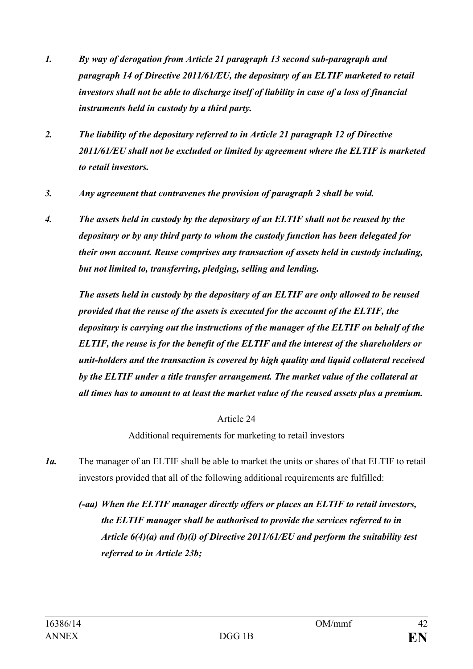- *1. By way of derogation from Article 21 paragraph 13 second sub-paragraph and paragraph 14 of Directive 2011/61/EU, the depositary of an ELTIF marketed to retail investors shall not be able to discharge itself of liability in case of a loss of financial instruments held in custody by a third party.*
- *2. The liability of the depositary referred to in Article 21 paragraph 12 of Directive 2011/61/EU shall not be excluded or limited by agreement where the ELTIF is marketed to retail investors.*
- *3. Any agreement that contravenes the provision of paragraph 2 shall be void.*
- *4. The assets held in custody by the depositary of an ELTIF shall not be reused by the depositary or by any third party to whom the custody function has been delegated for their own account. Reuse comprises any transaction of assets held in custody including, but not limited to, transferring, pledging, selling and lending.*

*The assets held in custody by the depositary of an ELTIF are only allowed to be reused provided that the reuse of the assets is executed for the account of the ELTIF, the depositary is carrying out the instructions of the manager of the ELTIF on behalf of the ELTIF, the reuse is for the benefit of the ELTIF and the interest of the shareholders or unit-holders and the transaction is covered by high quality and liquid collateral received by the ELTIF under a title transfer arrangement. The market value of the collateral at all times has to amount to at least the market value of the reused assets plus a premium.*

Article 24

Additional requirements for marketing to retail investors

- *1a.* The manager of an ELTIF shall be able to market the units or shares of that ELTIF to retail investors provided that all of the following additional requirements are fulfilled:
	- *(-aa) When the ELTIF manager directly offers or places an ELTIF to retail investors, the ELTIF manager shall be authorised to provide the services referred to in Article 6(4)(a) and (b)(i) of Directive 2011/61/EU and perform the suitability test referred to in Article 23b;*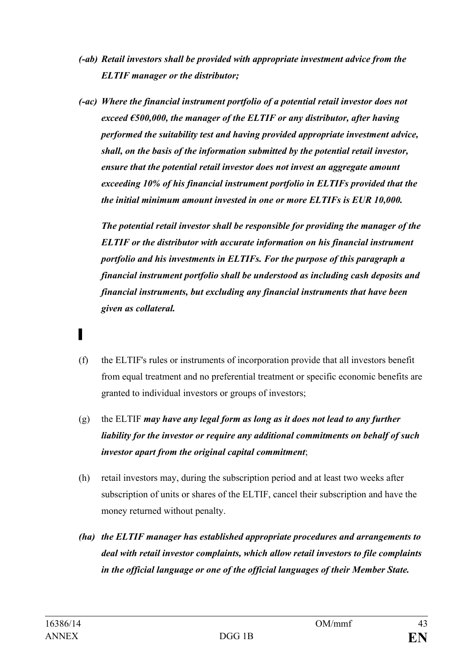- *(-ab) Retail investors shall be provided with appropriate investment advice from the ELTIF manager or the distributor;*
- *(-ac) Where the financial instrument portfolio of a potential retail investor does not exceed €500,000, the manager of the ELTIF or any distributor, after having performed the suitability test and having provided appropriate investment advice, shall, on the basis of the information submitted by the potential retail investor, ensure that the potential retail investor does not invest an aggregate amount exceeding 10% of his financial instrument portfolio in ELTIFs provided that the the initial minimum amount invested in one or more ELTIFs is EUR 10,000.*

*The potential retail investor shall be responsible for providing the manager of the ELTIF or the distributor with accurate information on his financial instrument portfolio and his investments in ELTIFs. For the purpose of this paragraph a financial instrument portfolio shall be understood as including cash deposits and financial instruments, but excluding any financial instruments that have been given as collateral.*

- ▌
- (f) the ELTIF's rules or instruments of incorporation provide that all investors benefit from equal treatment and no preferential treatment or specific economic benefits are granted to individual investors or groups of investors;
- (g) the ELTIF *may have any legal form as long as it does not lead to any further liability for the investor or require any additional commitments on behalf of such investor apart from the original capital commitment*;
- (h) retail investors may, during the subscription period and at least two weeks after subscription of units or shares of the ELTIF, cancel their subscription and have the money returned without penalty.
- *(ha) the ELTIF manager has established appropriate procedures and arrangements to deal with retail investor complaints, which allow retail investors to file complaints in the official language or one of the official languages of their Member State.*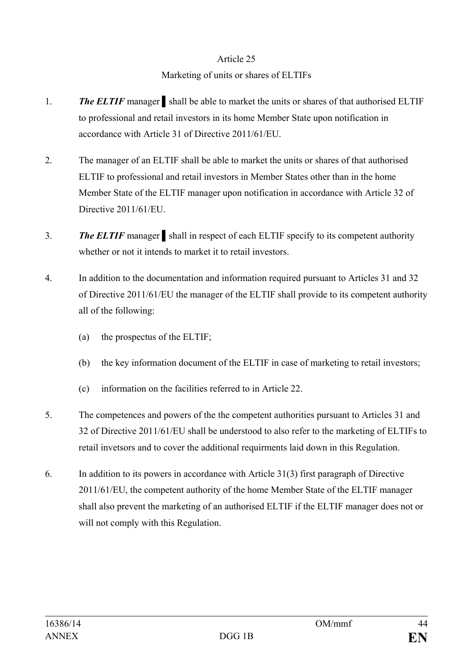#### Article 25

### Marketing of units or shares of ELTIFs

- 1. *The ELTIF* manager ▌shall be able to market the units or shares of that authorised ELTIF to professional and retail investors in its home Member State upon notification in accordance with Article 31 of Directive 2011/61/EU.
- 2. The manager of an ELTIF shall be able to market the units or shares of that authorised ELTIF to professional and retail investors in Member States other than in the home Member State of the ELTIF manager upon notification in accordance with Article 32 of Directive 2011/61/EU.
- 3. **The ELTIF** manager shall in respect of each ELTIF specify to its competent authority whether or not it intends to market it to retail investors.
- 4. In addition to the documentation and information required pursuant to Articles 31 and 32 of Directive 2011/61/EU the manager of the ELTIF shall provide to its competent authority all of the following:
	- (a) the prospectus of the ELTIF;
	- (b) the key information document of the ELTIF in case of marketing to retail investors;
	- (c) information on the facilities referred to in Article 22.
- 5. The competences and powers of the the competent authorities pursuant to Articles 31 and 32 of Directive 2011/61/EU shall be understood to also refer to the marketing of ELTIFs to retail invetsors and to cover the additional requirments laid down in this Regulation.
- 6. In addition to its powers in accordance with Article 31(3) first paragraph of Directive 2011/61/EU, the competent authority of the home Member State of the ELTIF manager shall also prevent the marketing of an authorised ELTIF if the ELTIF manager does not or will not comply with this Regulation.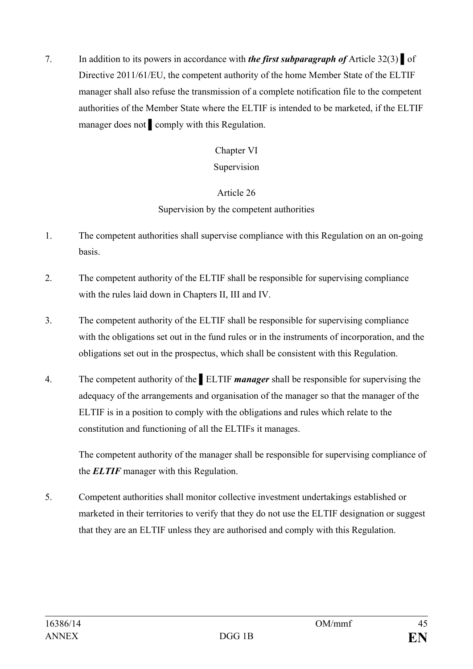7. In addition to its powers in accordance with *the first subparagraph of* Article 32(3) *▌*of Directive 2011/61/EU, the competent authority of the home Member State of the ELTIF manager shall also refuse the transmission of a complete notification file to the competent authorities of the Member State where the ELTIF is intended to be marketed, if the ELTIF manager does not ■ comply with this Regulation.

## Chapter VI

### Supervision

## Article 26

## Supervision by the competent authorities

- 1. The competent authorities shall supervise compliance with this Regulation on an on-going basis.
- 2. The competent authority of the ELTIF shall be responsible for supervising compliance with the rules laid down in Chapters II, III and IV.
- 3. The competent authority of the ELTIF shall be responsible for supervising compliance with the obligations set out in the fund rules or in the instruments of incorporation, and the obligations set out in the prospectus, which shall be consistent with this Regulation.
- 4. The competent authority of the *▌*ELTIF *manager* shall be responsible for supervising the adequacy of the arrangements and organisation of the manager so that the manager of the ELTIF is in a position to comply with the obligations and rules which relate to the constitution and functioning of all the ELTIFs it manages.

The competent authority of the manager shall be responsible for supervising compliance of the *ELTIF* manager with this Regulation.

5. Competent authorities shall monitor collective investment undertakings established or marketed in their territories to verify that they do not use the ELTIF designation or suggest that they are an ELTIF unless they are authorised and comply with this Regulation.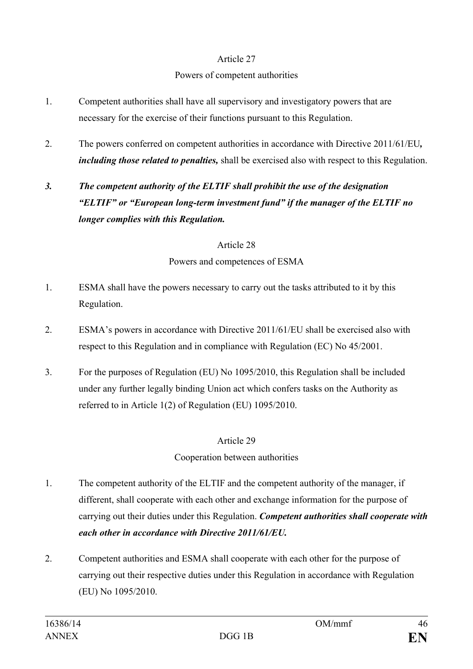### Article 27

#### Powers of competent authorities

- 1. Competent authorities shall have all supervisory and investigatory powers that are necessary for the exercise of their functions pursuant to this Regulation.
- 2. The powers conferred on competent authorities in accordance with Directive 2011/61/EU*, including those related to penalties,* shall be exercised also with respect to this Regulation.

## *3. The competent authority of the ELTIF shall prohibit the use of the designation "ELTIF" or "European long-term investment fund" if the manager of the ELTIF no longer complies with this Regulation.*

#### Article 28

### Powers and competences of ESMA

- 1. ESMA shall have the powers necessary to carry out the tasks attributed to it by this Regulation.
- 2. ESMA's powers in accordance with Directive 2011/61/EU shall be exercised also with respect to this Regulation and in compliance with Regulation (EC) No 45/2001.
- 3. For the purposes of Regulation (EU) No 1095/2010, this Regulation shall be included under any further legally binding Union act which confers tasks on the Authority as referred to in Article 1(2) of Regulation (EU) 1095/2010.

## Article 29

## Cooperation between authorities

- 1. The competent authority of the ELTIF and the competent authority of the manager, if different, shall cooperate with each other and exchange information for the purpose of carrying out their duties under this Regulation. *Competent authorities shall cooperate with each other in accordance with Directive 2011/61/EU.*
- 2. Competent authorities and ESMA shall cooperate with each other for the purpose of carrying out their respective duties under this Regulation in accordance with Regulation (EU) No 1095/2010.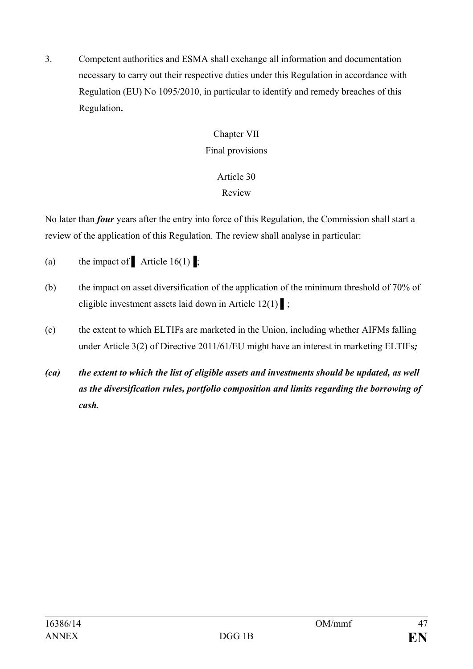3. Competent authorities and ESMA shall exchange all information and documentation necessary to carry out their respective duties under this Regulation in accordance with Regulation (EU) No 1095/2010, in particular to identify and remedy breaches of this Regulation**.** 

## Chapter VII Final provisions

# Article 30

Review

No later than *four* years after the entry into force of this Regulation, the Commission shall start a review of the application of this Regulation. The review shall analyse in particular:

- (a) the impact of Article 16(1);
- (b) the impact on asset diversification of the application of the minimum threshold of 70% of eligible investment assets laid down in Article  $12(1)$  ;
- (c) the extent to which ELTIFs are marketed in the Union, including whether AIFMs falling under Article 3(2) of Directive 2011/61/EU might have an interest in marketing ELTIFs*;*
- *(ca) the extent to which the list of eligible assets and investments should be updated, as well as the diversification rules, portfolio composition and limits regarding the borrowing of cash.*